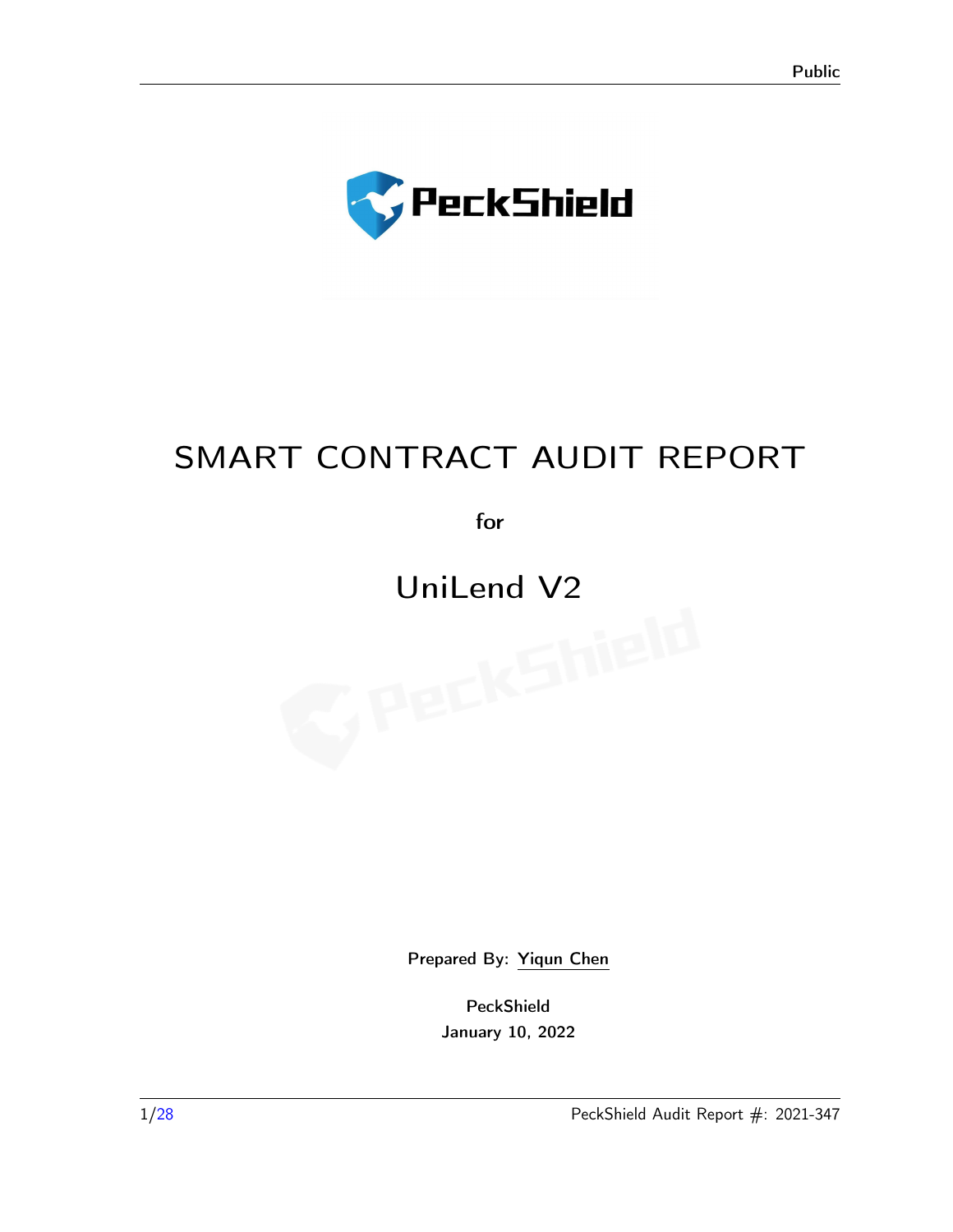

# SMART CONTRACT AUDIT REPORT

for

# UniLend V2

Prepared By: [Yiqun Chen](contact@peckshield.com)

PeckShield January 10, 2022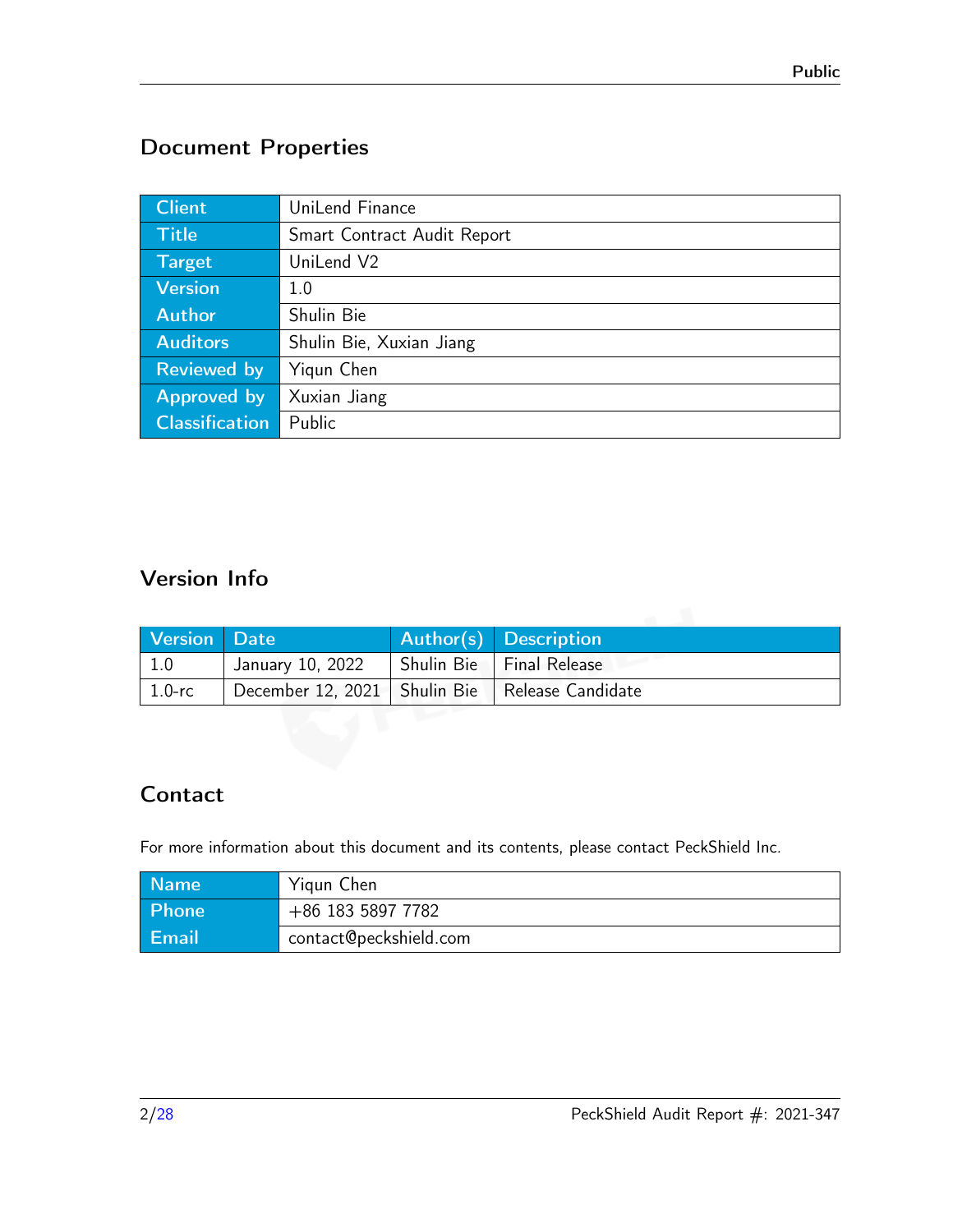# Document Properties

| <b>Client</b>         | UniLend Finance             |
|-----------------------|-----------------------------|
| <b>Title</b>          | Smart Contract Audit Report |
| <b>Target</b>         | UniLend V2                  |
| <b>Version</b>        | 1.0                         |
| <b>Author</b>         | Shulin Bie                  |
| <b>Auditors</b>       | Shulin Bie, Xuxian Jiang    |
| <b>Reviewed by</b>    | Yiqun Chen                  |
| Approved by           | Xuxian Jiang                |
| <b>Classification</b> | Public                      |

# Version Info

| Version Date       |                                                    | Author(s) Description      |
|--------------------|----------------------------------------------------|----------------------------|
| 1.0                | January 10, 2022                                   | Shulin Bie   Final Release |
| $^{\prime}$ 1.0-rc | December 12, 2021   Shulin Bie   Release Candidate |                            |

# Contact

For more information about this document and its contents, please contact PeckShield Inc.

| <b>Name</b>  | Yigun Chen             |
|--------------|------------------------|
| Phone        | +86 183 5897 7782      |
| <b>Email</b> | contact@peckshield.com |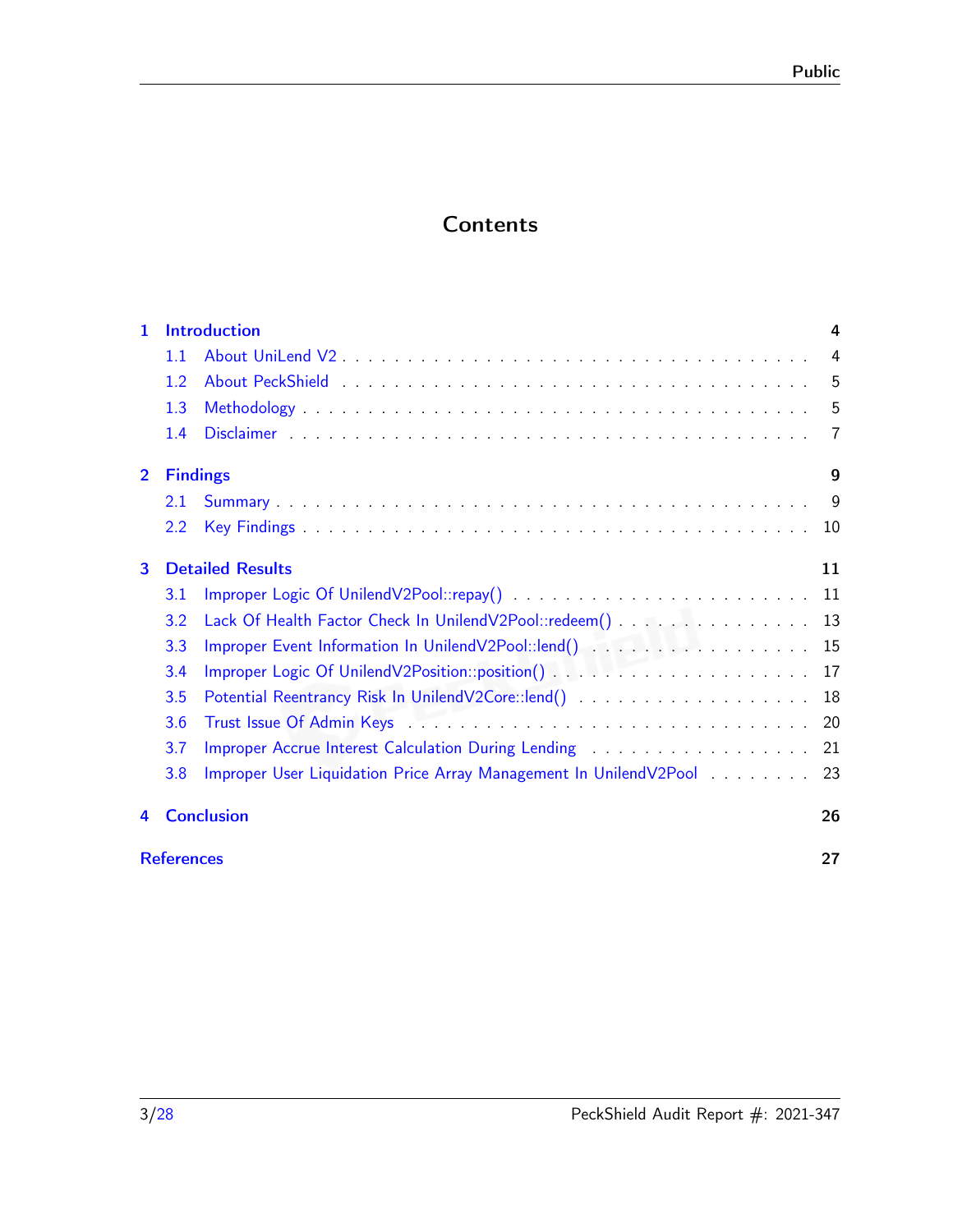# **Contents**

| 1.             |                   | <b>Introduction</b>                                                                 | 4   |
|----------------|-------------------|-------------------------------------------------------------------------------------|-----|
|                | 1.1               |                                                                                     | 4   |
|                | 1.2               |                                                                                     | 5   |
|                | 1.3               |                                                                                     | 5   |
|                | 1.4               |                                                                                     | 7   |
| $\overline{2}$ | <b>Findings</b>   |                                                                                     | 9   |
|                | 2.1               |                                                                                     | 9   |
|                | 2.2               |                                                                                     | 10  |
| 3              |                   | <b>Detailed Results</b>                                                             | 11  |
|                | 3.1               |                                                                                     | -11 |
|                | 3.2               | Lack Of Health Factor Check In UnilendV2Pool::redeem()                              | 13  |
|                | 3.3               |                                                                                     |     |
|                | 3.4               |                                                                                     | 17  |
|                | 3.5               | Potential Reentrancy Risk In UnilendV2Core::lend()                                  | 18  |
|                | 3.6               |                                                                                     | 20  |
|                | 3.7               | Improper Accrue Interest Calculation During Lending rubbers and rubbers Accrue 2014 | 21  |
|                | 3.8               | Improper User Liquidation Price Array Management In UnilendV2Pool                   | 23  |
| 4              |                   | <b>Conclusion</b>                                                                   | 26  |
|                | <b>References</b> |                                                                                     | 27  |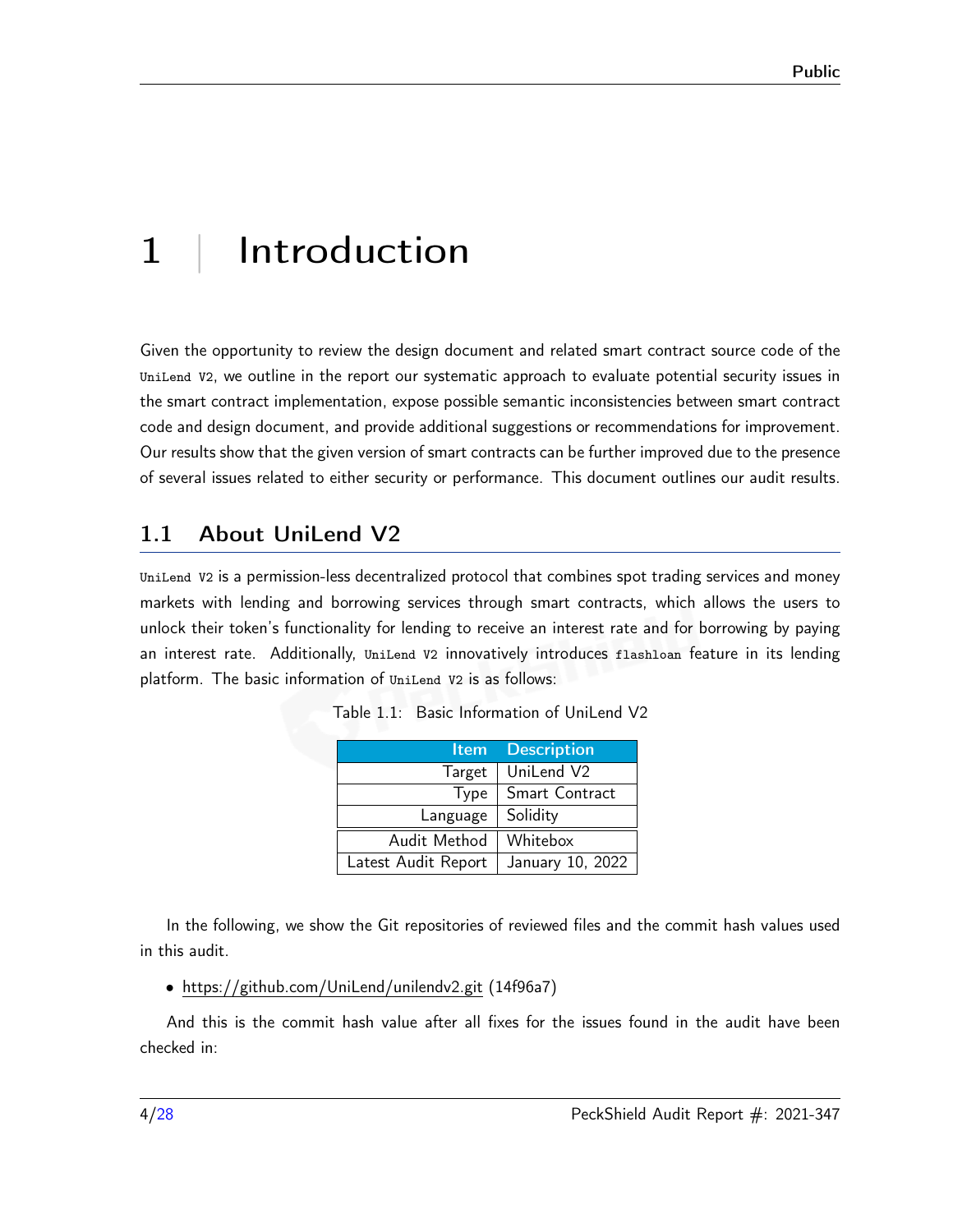# <span id="page-3-0"></span>1 | Introduction

Given the opportunity to review the design document and related smart contract source code of the UniLend V2, we outline in the report our systematic approach to evaluate potential security issues in the smart contract implementation, expose possible semantic inconsistencies between smart contract code and design document, and provide additional suggestions or recommendations for improvement. Our results show that the given version of smart contracts can be further improved due to the presence of several issues related to either security or performance. This document outlines our audit results.

## <span id="page-3-1"></span>1.1 About UniLend V2

UniLend V2 is a permission-less decentralized protocol that combines spot trading services and money markets with lending and borrowing services through smart contracts, which allows the users to unlock their token's functionality for lending to receive an interest rate and for borrowing by paying an interest rate. Additionally, UniLend V2 innovatively introduces flashloan feature in its lending platform. The basic information of UniLend V2 is as follows:

| Item                | <b>Description</b> |
|---------------------|--------------------|
| Target              | UniLend V2         |
| Type                | Smart Contract     |
| Language            | Solidity           |
| Audit Method        | Whitebox           |
| Latest Audit Report | January 10, 2022   |

Table 1.1: Basic Information of UniLend V2

In the following, we show the Git repositories of reviewed files and the commit hash values used in this audit.

#### • https://github.com/UniLend/unilendv2.git (14f96a7)

And this is the commit hash value after all fixes for the issues found in the audit have been checked in: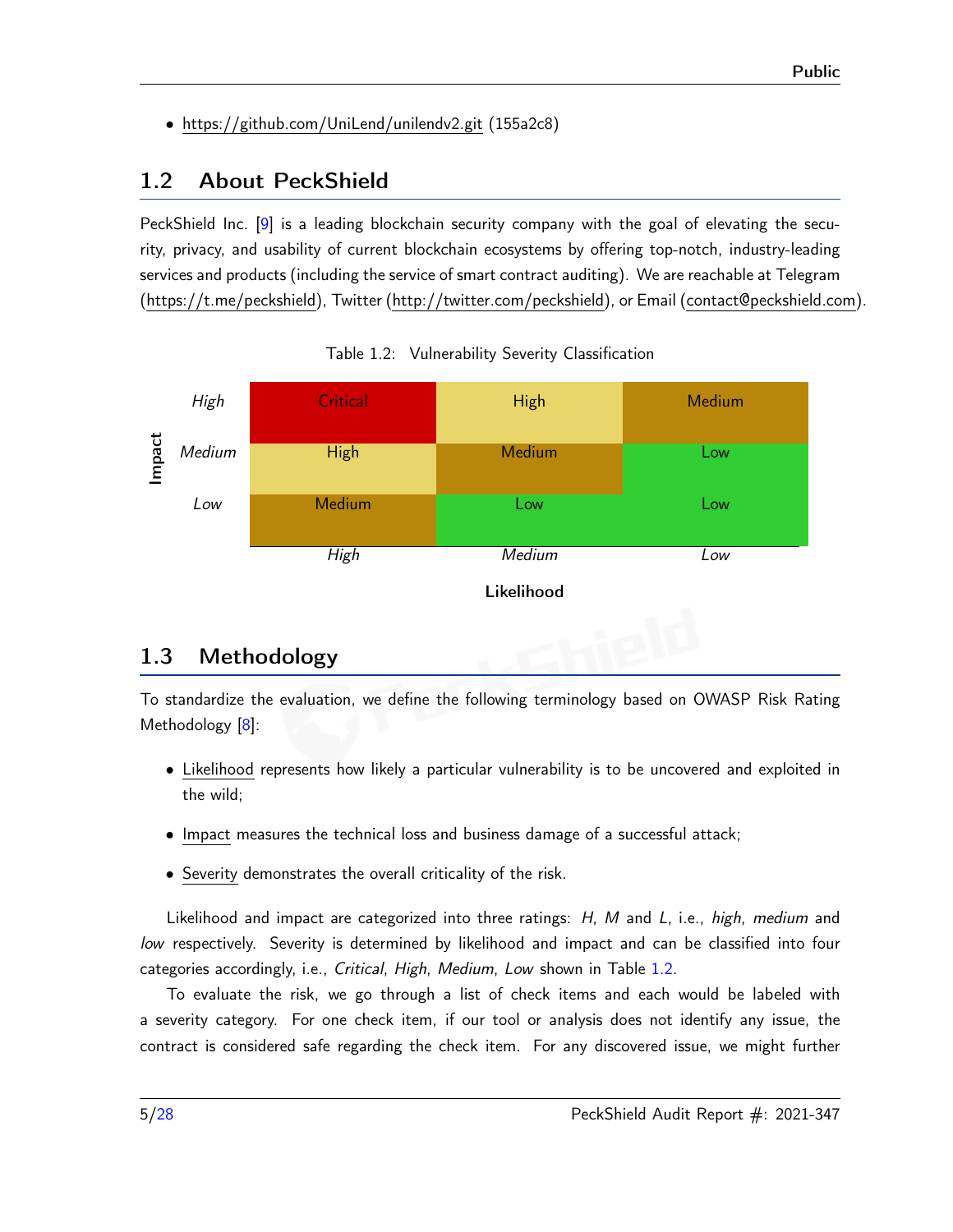• https://github.com/UniLend/unilendv2.git (155a2c8)

# <span id="page-4-0"></span>1.2 About PeckShield

PeckShield Inc. [\[9\]](#page-26-1) is a leading blockchain security company with the goal of elevating the security, privacy, and usability of current blockchain ecosystems by offering top-notch, industry-leading services and products (including the service of smart contract auditing). We are reachable at Telegram [\(https://t.me/peckshield\)](https://t.me/peckshield), Twitter [\(http://twitter.com/peckshield\)](http://twitter.com/peckshield), or Email [\(contact@peckshield.com\)](contact@peckshield.com).

<span id="page-4-2"></span>



## <span id="page-4-1"></span>1.3 Methodology

To standardize the evaluation, we define the following terminology based on OWASP Risk Rating Methodology [\[8\]](#page-26-2):

- Likelihood represents how likely a particular vulnerability is to be uncovered and exploited in the wild;
- Impact measures the technical loss and business damage of a successful attack;
- Severity demonstrates the overall criticality of the risk.

Likelihood and impact are categorized into three ratings: H, M and L, i.e., high, medium and low respectively. Severity is determined by likelihood and impact and can be classified into four categories accordingly, i.e., Critical, High, Medium, Low shown in Table [1.2.](#page-4-2)

To evaluate the risk, we go through a list of check items and each would be labeled with a severity category. For one check item, if our tool or analysis does not identify any issue, the contract is considered safe regarding the check item. For any discovered issue, we might further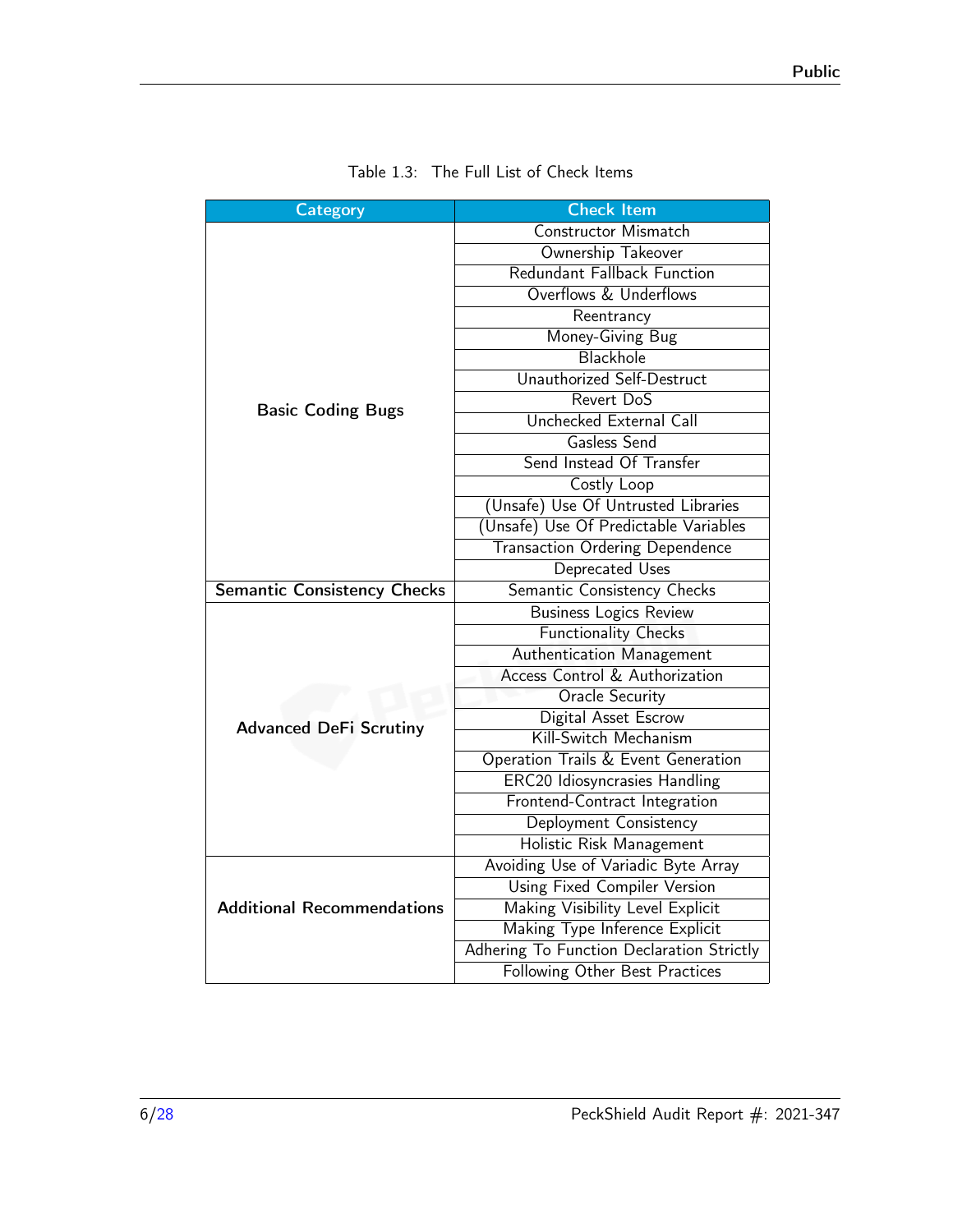<span id="page-5-0"></span>

| Category                           | <b>Check Item</b>                         |  |
|------------------------------------|-------------------------------------------|--|
|                                    | Constructor Mismatch                      |  |
|                                    | Ownership Takeover                        |  |
|                                    | Redundant Fallback Function               |  |
|                                    | Overflows & Underflows                    |  |
|                                    | Reentrancy                                |  |
|                                    | Money-Giving Bug                          |  |
|                                    | Blackhole                                 |  |
|                                    | Unauthorized Self-Destruct                |  |
| <b>Basic Coding Bugs</b>           | Revert DoS                                |  |
|                                    | Unchecked External Call                   |  |
|                                    | Gasless Send                              |  |
|                                    | Send Instead Of Transfer                  |  |
|                                    | Costly Loop                               |  |
|                                    | (Unsafe) Use Of Untrusted Libraries       |  |
|                                    | (Unsafe) Use Of Predictable Variables     |  |
|                                    | <b>Transaction Ordering Dependence</b>    |  |
|                                    | Deprecated Uses                           |  |
| <b>Semantic Consistency Checks</b> | Semantic Consistency Checks               |  |
|                                    | <b>Business Logics Review</b>             |  |
|                                    | <b>Functionality Checks</b>               |  |
|                                    | Authentication Management                 |  |
|                                    | Access Control & Authorization            |  |
|                                    | <b>Oracle Security</b>                    |  |
| <b>Advanced DeFi Scrutiny</b>      | Digital Asset Escrow                      |  |
|                                    | Kill-Switch Mechanism                     |  |
|                                    | Operation Trails & Event Generation       |  |
|                                    | <b>ERC20 Idiosyncrasies Handling</b>      |  |
|                                    | Frontend-Contract Integration             |  |
|                                    | Deployment Consistency                    |  |
|                                    | Holistic Risk Management                  |  |
|                                    | Avoiding Use of Variadic Byte Array       |  |
|                                    | Using Fixed Compiler Version              |  |
| <b>Additional Recommendations</b>  | Making Visibility Level Explicit          |  |
|                                    | Making Type Inference Explicit            |  |
|                                    | Adhering To Function Declaration Strictly |  |
|                                    | Following Other Best Practices            |  |

| Table 1.3: The Full List of Check Items |  |
|-----------------------------------------|--|
|-----------------------------------------|--|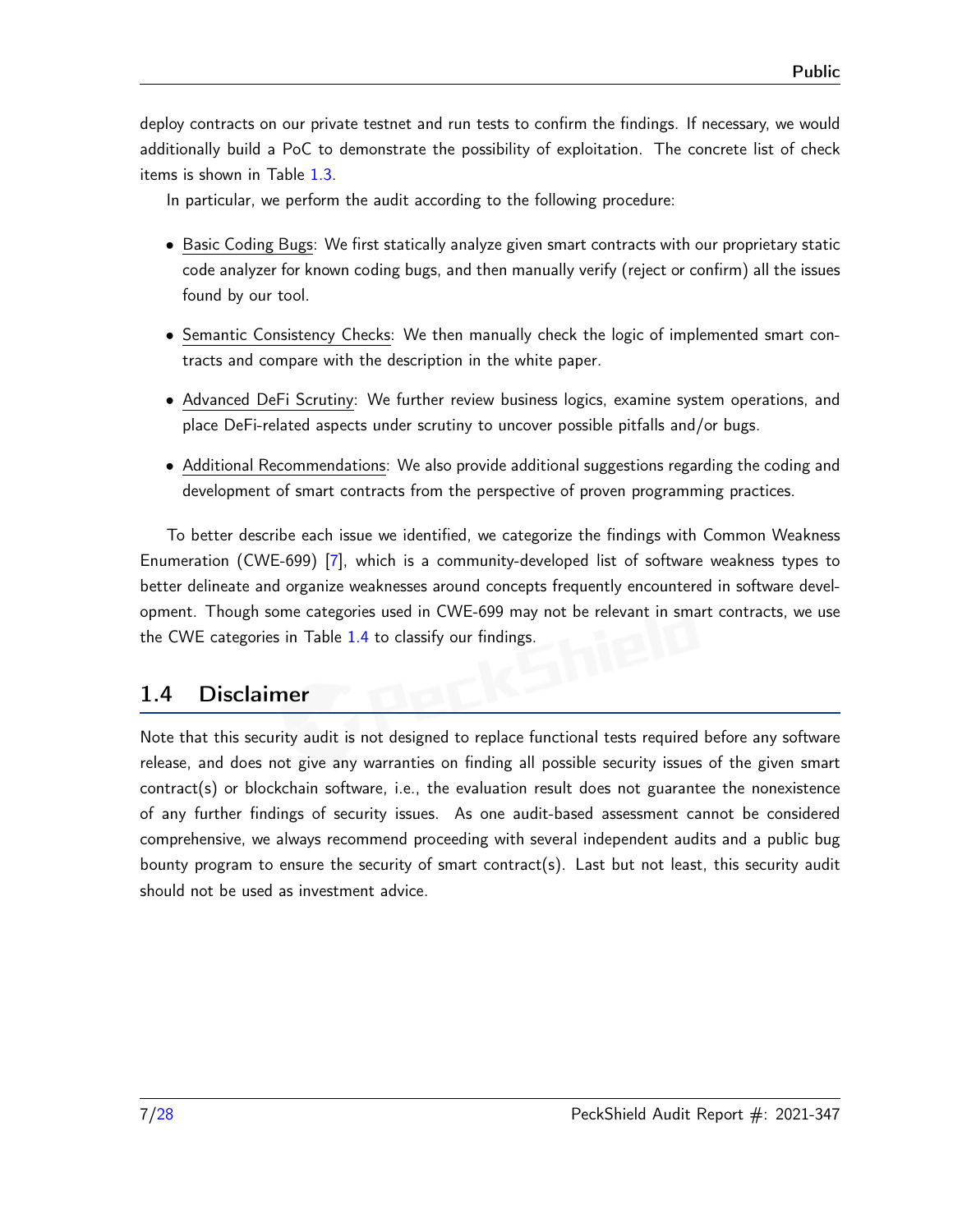deploy contracts on our private testnet and run tests to confirm the findings. If necessary, we would additionally build a PoC to demonstrate the possibility of exploitation. The concrete list of check items is shown in Table [1.3.](#page-5-0)

In particular, we perform the audit according to the following procedure:

- Basic Coding Bugs: We first statically analyze given smart contracts with our proprietary static code analyzer for known coding bugs, and then manually verify (reject or confirm) all the issues found by our tool.
- Semantic Consistency Checks: We then manually check the logic of implemented smart contracts and compare with the description in the white paper.
- Advanced DeFi Scrutiny: We further review business logics, examine system operations, and place DeFi-related aspects under scrutiny to uncover possible pitfalls and/or bugs.
- Additional Recommendations: We also provide additional suggestions regarding the coding and development of smart contracts from the perspective of proven programming practices.

To better describe each issue we identified, we categorize the findings with Common Weakness Enumeration (CWE-699) [\[7\]](#page-26-3), which is a community-developed list of software weakness types to better delineate and organize weaknesses around concepts frequently encountered in software development. Though some categories used in CWE-699 may not be relevant in smart contracts, we use the CWE categories in Table [1.4](#page-7-0) to classify our findings.

## <span id="page-6-0"></span>1.4 Disclaimer

Note that this security audit is not designed to replace functional tests required before any software release, and does not give any warranties on finding all possible security issues of the given smart contract(s) or blockchain software, i.e., the evaluation result does not guarantee the nonexistence of any further findings of security issues. As one audit-based assessment cannot be considered comprehensive, we always recommend proceeding with several independent audits and a public bug bounty program to ensure the security of smart contract(s). Last but not least, this security audit should not be used as investment advice.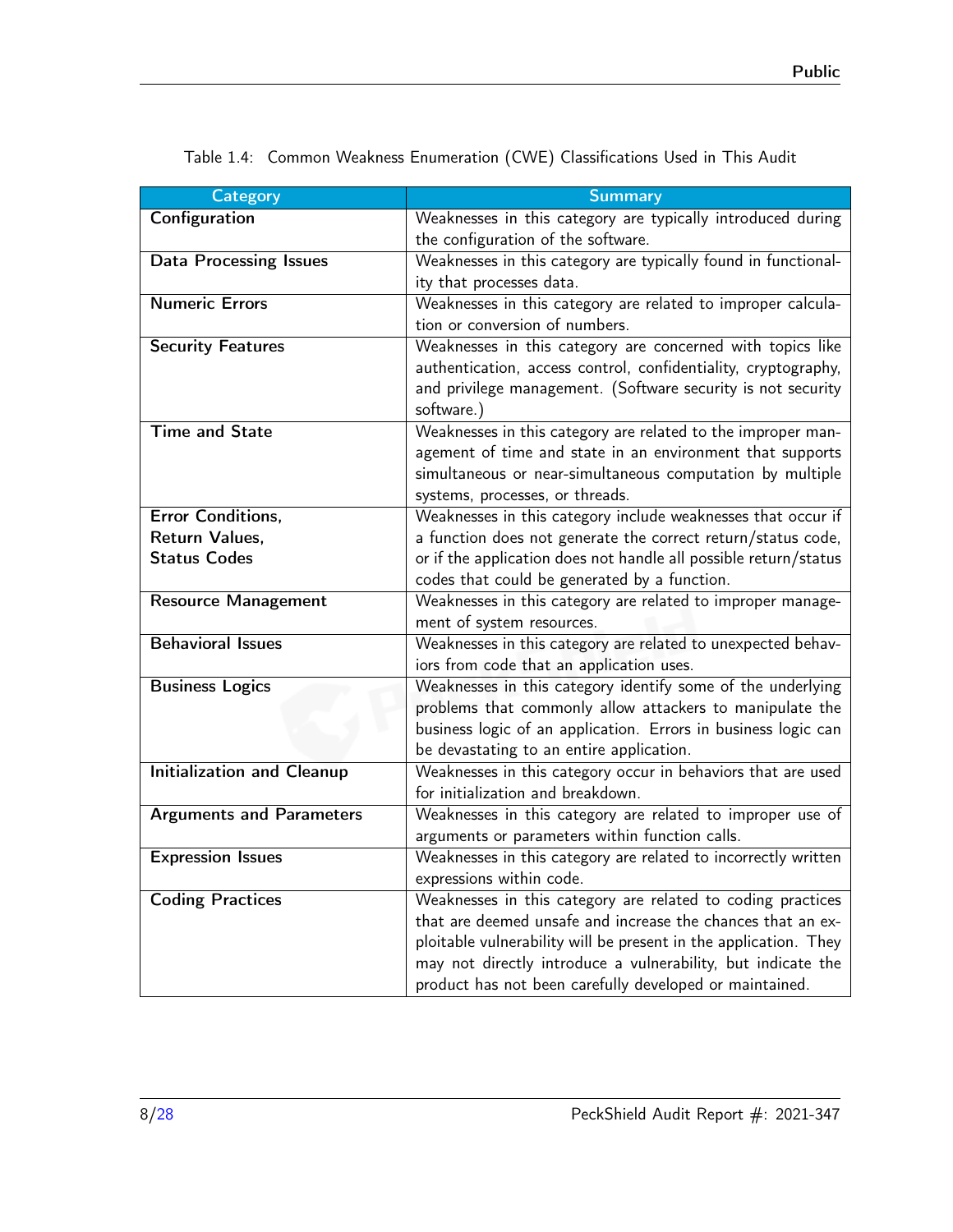| <b>Category</b>                   | <b>Summary</b>                                                                                                                   |
|-----------------------------------|----------------------------------------------------------------------------------------------------------------------------------|
| Configuration                     | Weaknesses in this category are typically introduced during                                                                      |
|                                   | the configuration of the software.                                                                                               |
| <b>Data Processing Issues</b>     | Weaknesses in this category are typically found in functional-                                                                   |
|                                   | ity that processes data.                                                                                                         |
| <b>Numeric Errors</b>             | Weaknesses in this category are related to improper calcula-                                                                     |
|                                   | tion or conversion of numbers.                                                                                                   |
| <b>Security Features</b>          | Weaknesses in this category are concerned with topics like                                                                       |
|                                   | authentication, access control, confidentiality, cryptography,                                                                   |
|                                   | and privilege management. (Software security is not security<br>software.)                                                       |
| <b>Time and State</b>             | Weaknesses in this category are related to the improper man-                                                                     |
|                                   | agement of time and state in an environment that supports                                                                        |
|                                   | simultaneous or near-simultaneous computation by multiple                                                                        |
|                                   | systems, processes, or threads.                                                                                                  |
| Error Conditions,                 | Weaknesses in this category include weaknesses that occur if                                                                     |
| Return Values,                    | a function does not generate the correct return/status code,                                                                     |
| <b>Status Codes</b>               | or if the application does not handle all possible return/status                                                                 |
|                                   | codes that could be generated by a function.                                                                                     |
| <b>Resource Management</b>        | Weaknesses in this category are related to improper manage-                                                                      |
|                                   | ment of system resources.                                                                                                        |
| <b>Behavioral Issues</b>          | Weaknesses in this category are related to unexpected behav-                                                                     |
|                                   | iors from code that an application uses.                                                                                         |
| <b>Business Logics</b>            | Weaknesses in this category identify some of the underlying                                                                      |
|                                   | problems that commonly allow attackers to manipulate the                                                                         |
|                                   | business logic of an application. Errors in business logic can                                                                   |
|                                   | be devastating to an entire application.                                                                                         |
| <b>Initialization and Cleanup</b> | Weaknesses in this category occur in behaviors that are used                                                                     |
|                                   | for initialization and breakdown.                                                                                                |
| <b>Arguments and Parameters</b>   | Weaknesses in this category are related to improper use of                                                                       |
|                                   | arguments or parameters within function calls.                                                                                   |
| <b>Expression Issues</b>          | Weaknesses in this category are related to incorrectly written                                                                   |
|                                   | expressions within code.                                                                                                         |
| <b>Coding Practices</b>           | Weaknesses in this category are related to coding practices<br>that are deemed unsafe and increase the chances that an ex-       |
|                                   |                                                                                                                                  |
|                                   | ploitable vulnerability will be present in the application. They<br>may not directly introduce a vulnerability, but indicate the |
|                                   | product has not been carefully developed or maintained.                                                                          |
|                                   |                                                                                                                                  |

<span id="page-7-0"></span>Table 1.4: Common Weakness Enumeration (CWE) Classifications Used in This Audit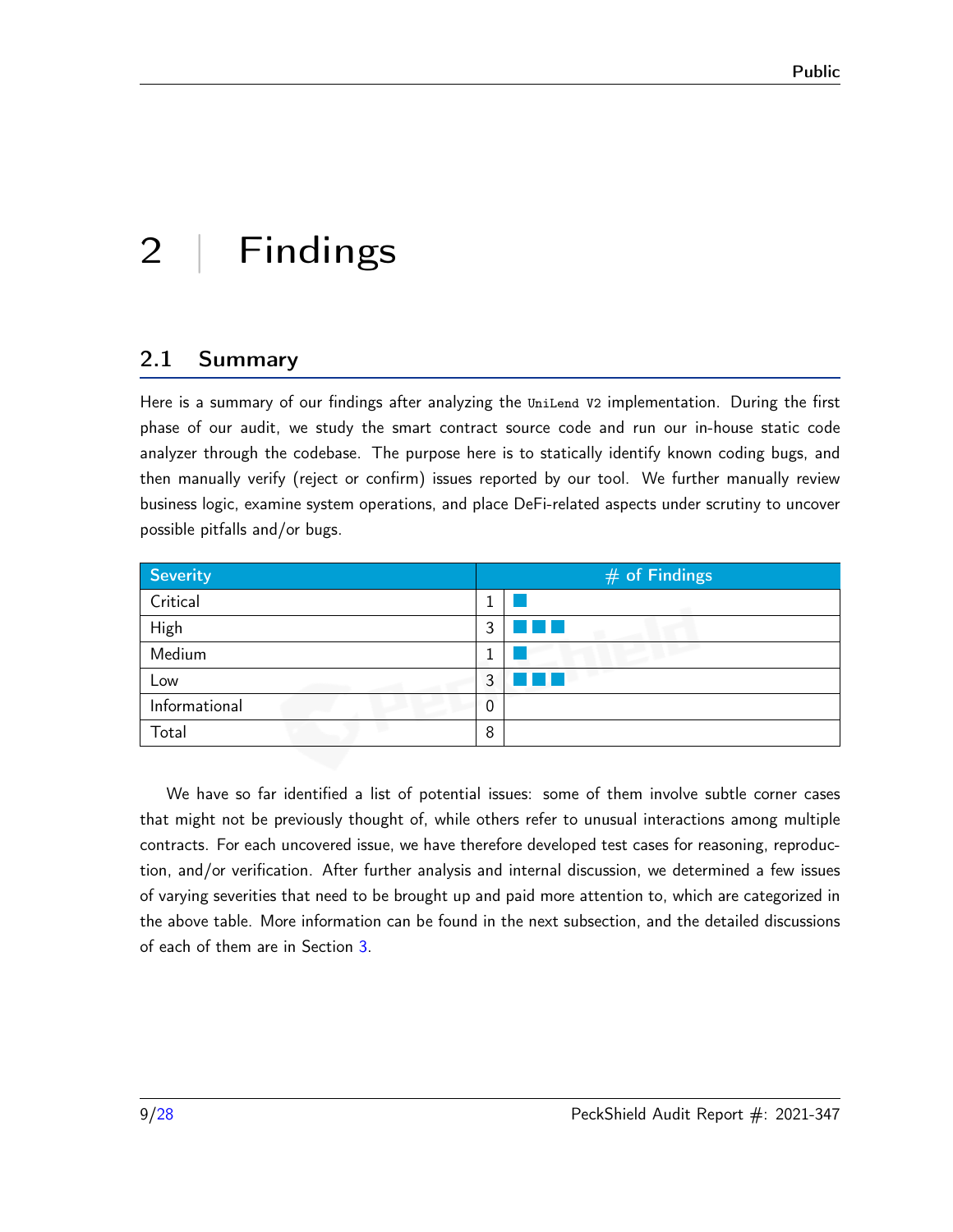# <span id="page-8-0"></span>2 | Findings

## <span id="page-8-1"></span>2.1 Summary

Here is a summary of our findings after analyzing the UniLend V2 implementation. During the first phase of our audit, we study the smart contract source code and run our in-house static code analyzer through the codebase. The purpose here is to statically identify known coding bugs, and then manually verify (reject or confirm) issues reported by our tool. We further manually review business logic, examine system operations, and place DeFi-related aspects under scrutiny to uncover possible pitfalls and/or bugs.

| Severity      | $#$ of Findings |  |
|---------------|-----------------|--|
| Critical      |                 |  |
| High          | 3<br>H.         |  |
| Medium        |                 |  |
| Low           | 3               |  |
| Informational | 0               |  |
| Total         | 8               |  |

We have so far identified a list of potential issues: some of them involve subtle corner cases that might not be previously thought of, while others refer to unusual interactions among multiple contracts. For each uncovered issue, we have therefore developed test cases for reasoning, reproduction, and/or verification. After further analysis and internal discussion, we determined a few issues of varying severities that need to be brought up and paid more attention to, which are categorized in the above table. More information can be found in the next subsection, and the detailed discussions of each of them are in Section [3.](#page-10-0)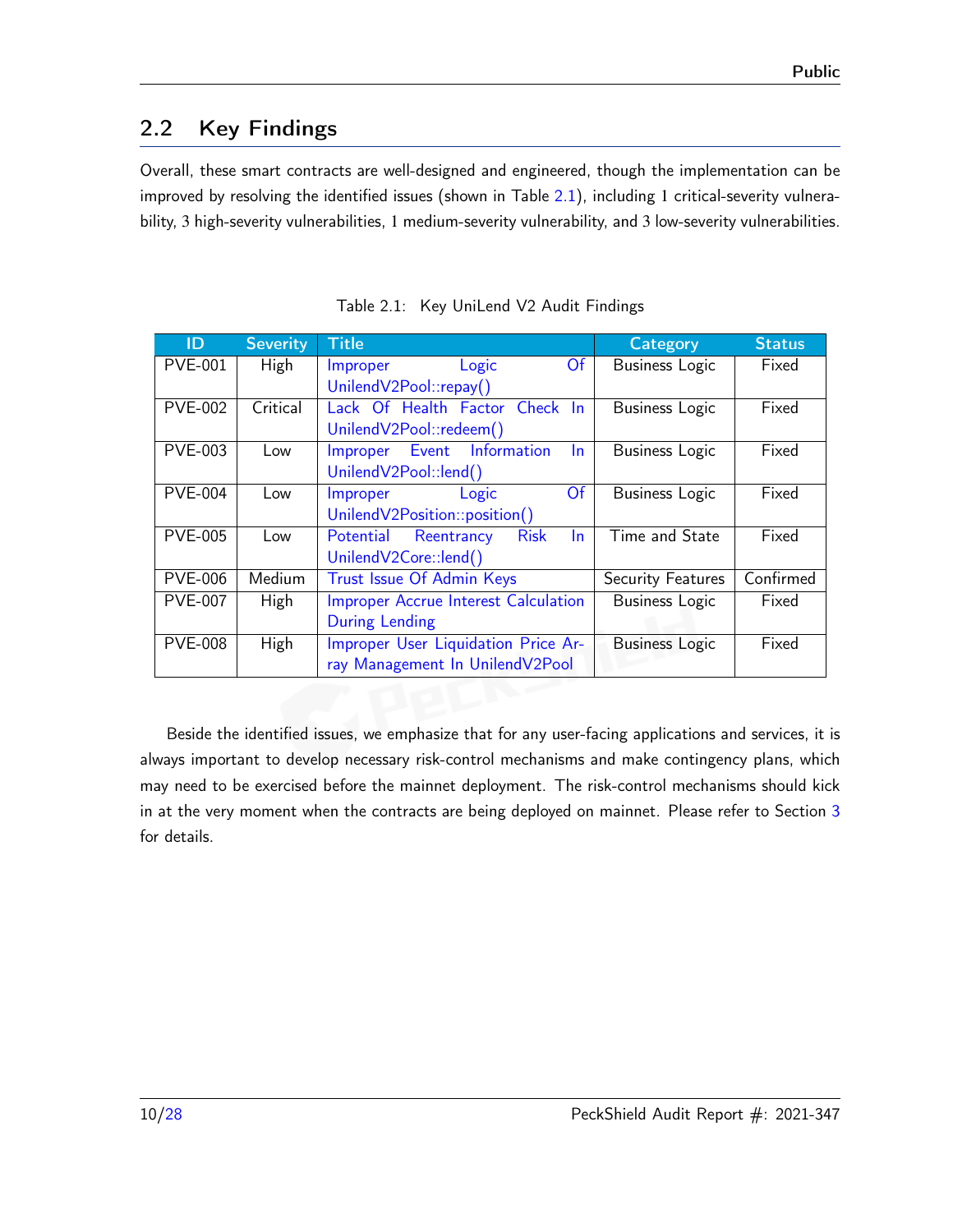# <span id="page-9-0"></span>2.2 Key Findings

Overall, these smart contracts are well-designed and engineered, though the implementation can be improved by resolving the identified issues (shown in Table [2.1\)](#page-9-1), including 1 critical-severity vulnerability, 3 high-severity vulnerabilities, 1 medium-severity vulnerability, and 3 low-severity vulnerabilities.

<span id="page-9-1"></span>

| ID             | <b>Severity</b> | <b>Title</b>                                 | <b>Category</b>       | <b>Status</b> |
|----------------|-----------------|----------------------------------------------|-----------------------|---------------|
| <b>PVE-001</b> | High            | Logic<br><b>Of</b><br>Improper               | <b>Business Logic</b> | Fixed         |
|                |                 | UnilendV2Pool::repay()                       |                       |               |
| <b>PVE-002</b> | Critical        | Lack Of Health Factor Check In               | <b>Business Logic</b> | Fixed         |
|                |                 | UnilendV2Pool::redeem()                      |                       |               |
| <b>PVE-003</b> | Low             | Event Information<br>Improper<br>In.         | <b>Business Logic</b> | Fixed         |
|                |                 | UnilendV2Pool::lend()                        |                       |               |
| <b>PVE-004</b> | Low             | Of<br>Improper<br>Logic                      | <b>Business Logic</b> | Fixed         |
|                |                 | UnilendV2Position::position()                |                       |               |
| <b>PVE-005</b> | Low             | Potential Reentrancy<br><b>Risk</b><br>$\ln$ | Time and State        | Fixed         |
|                |                 | UnilendV2Core::lend()                        |                       |               |
| <b>PVE-006</b> | Medium          | Trust Issue Of Admin Keys                    | Security Features     | Confirmed     |
| <b>PVE-007</b> | High            | <b>Improper Accrue Interest Calculation</b>  | <b>Business Logic</b> | Fixed         |
|                |                 | <b>During Lending</b>                        |                       |               |
| <b>PVE-008</b> | High            | Improper User Liquidation Price Ar-          | <b>Business Logic</b> | Fixed         |
|                |                 | ray Management In UnilendV2Pool              |                       |               |

Table 2.1: Key UniLend V2 Audit Findings

Beside the identified issues, we emphasize that for any user-facing applications and services, it is always important to develop necessary risk-control mechanisms and make contingency plans, which may need to be exercised before the mainnet deployment. The risk-control mechanisms should kick in at the very moment when the contracts are being deployed on mainnet. Please refer to Section [3](#page-10-0) for details.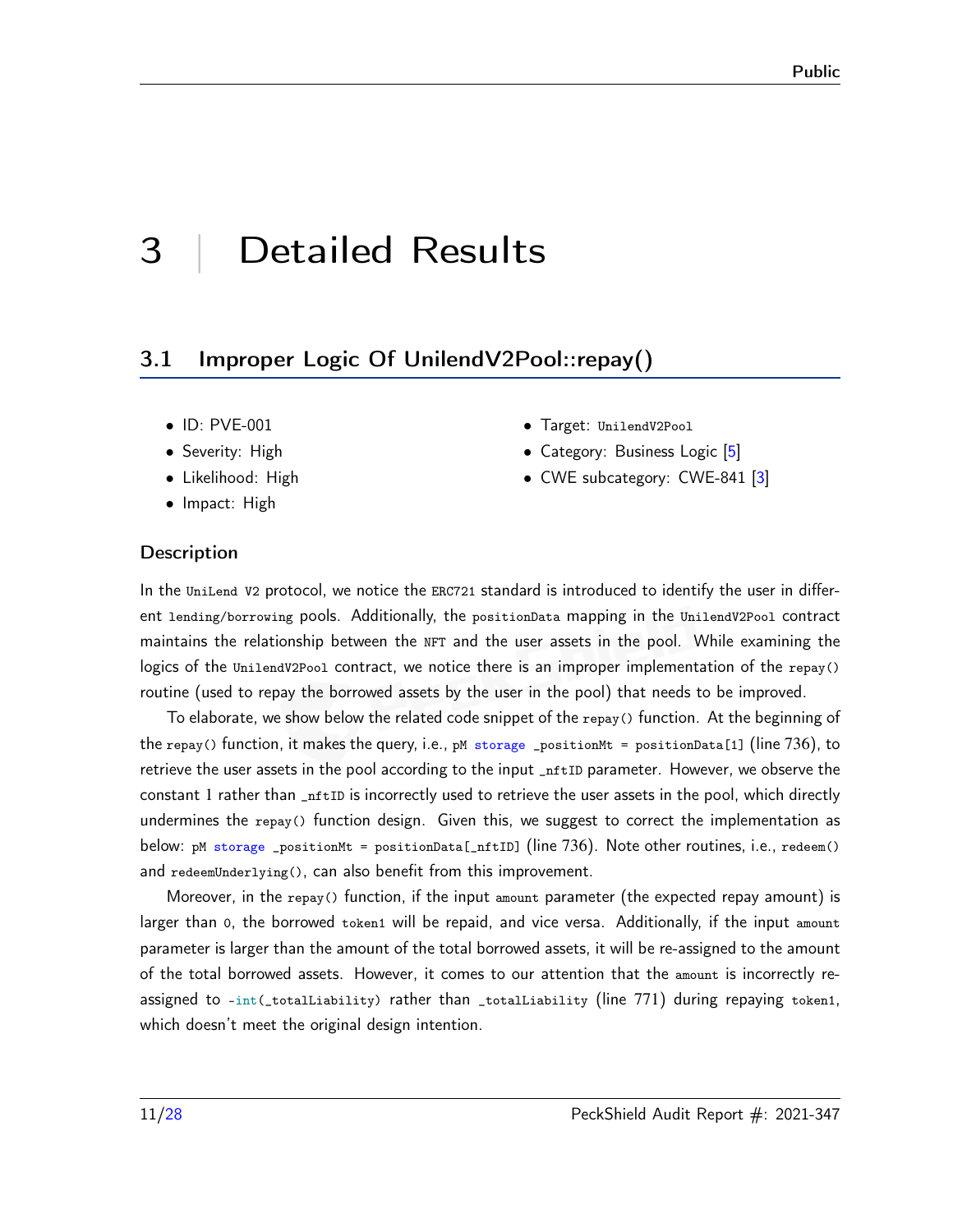# <span id="page-10-0"></span>3 | Detailed Results

#### <span id="page-10-1"></span>3.1 Improper Logic Of UnilendV2Pool::repay()

- ID: PVE-001
- Severity: High
- Likelihood: High
- Impact: High
- Target: UnilendV2Pool
- Category: Business Logic [\[5\]](#page-26-4)
- CWE subcategory: CWE-841 [\[3\]](#page-26-5)

#### **Description**

In the UniLend V2 protocol, we notice the ERC721 standard is introduced to identify the user in different lending/borrowing pools. Additionally, the positionData mapping in the UnilendV2Pool contract maintains the relationship between the NFT and the user assets in the pool. While examining the logics of the UnilendV2Pool contract, we notice there is an improper implementation of the repay() routine (used to repay the borrowed assets by the user in the pool) that needs to be improved.

To elaborate, we show below the related code snippet of the repay() function. At the beginning of the repay() function, it makes the query, i.e., pM storage \_positionMt = positionData[1] (line 736), to retrieve the user assets in the pool according to the input \_nftID parameter. However, we observe the constant 1 rather than  $_{\text{inftID}}$  is incorrectly used to retrieve the user assets in the pool, which directly undermines the  $r_{\text{epay}}($ ) function design. Given this, we suggest to correct the implementation as below: pM storage \_positionMt = positionData[\_nftID] (line 736). Note other routines, i.e., redeem() and redeemUnderlying(), can also benefit from this improvement.

Moreover, in the repay() function, if the input amount parameter (the expected repay amount) is larger than 0, the borrowed token1 will be repaid, and vice versa. Additionally, if the input amount parameter is larger than the amount of the total borrowed assets, it will be re-assigned to the amount of the total borrowed assets. However, it comes to our attention that the amount is incorrectly reassigned to -int(\_totalLiability) rather than \_totalLiability (line 771) during repaying token1, which doesn't meet the original design intention.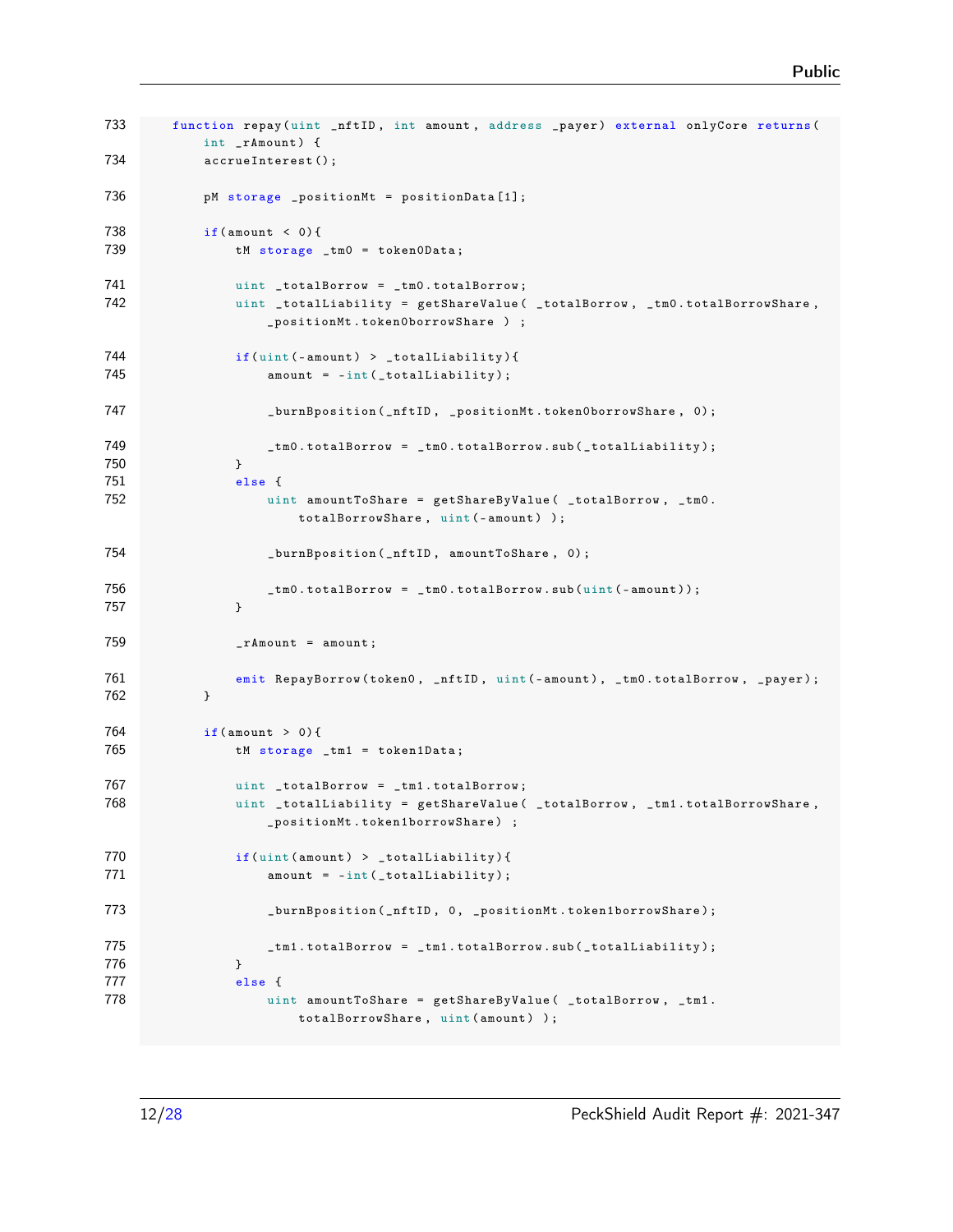```
733 function repay (uint _nftID, int amount, address _payer) external onlyCore returns (
           int _rAmount ) {
734 accrueInterest () ;
736 pM storage _positionMt = positionData [1];
738 if( amount < 0) {
739 tM storage _tm0 = token0Data;
741 uint _totalBorrow = _tm0.totalBorrow;
742 uint _totalLiability = getShareValue ( _totalBorrow , _tm0 . totalBorrowShare ,
                   _positionMt . token0borrowShare ) ;
744 if(uint (-amount) > _totalLiability){
745 amount = -int(_totalLiability);
747 burnBposition ( _nftID , _positionMt . token0borrowShare , 0) ;
749 cm0.totalBorrow = _tm0.totalBorrow.sub(_totalLiability);
750 }
751 else {
752 uint amountToShare = getShareByValue ( _totalBorrow, _tm0.
                      totalBorrowShare , uint (- amount ) );
754 _burnBposition ( _nftID , amountToShare , 0) ;
756 being the Luis Control totalBorrow = _tm0 . totalBorrow . sub (uint (-amount));
757 }
759 _rAmount = amount;
761 emit RepayBorrow (token0, _nftID, uint (-amount), _tm0.totalBorrow, _payer);
762 }
764 if( amount > 0) {
765 tM storage _tm1 = token1Data ;
767 uint _totalBorrow = _tm1.totalBorrow;
768 uint _totalLiability = getShareValue ( _totalBorrow, _tm1.totalBorrowShare,
                   _positionMt . token1borrowShare ) ;
770 if(uint (amount) > _totalLiability){
771 amount = -int(_totalLiability);
773 burnBposition ( _nftID, 0, _positionMt . token1borrowShare );
775 because the Leap of Luis 2018 Leapness Leapness Leapness Leapness Leapness Leapness Leapness Leapness Leapness Leapness Leapness Leapness Leapness Leapness Leapness Leapness Leapness Leapness Leapness Leapness Leapne
776 }
777 else {
778 uint amountToShare = getShareByValue ( _totalBorrow, _tm1.
                      totalBorrowShare, uint (amount) );
```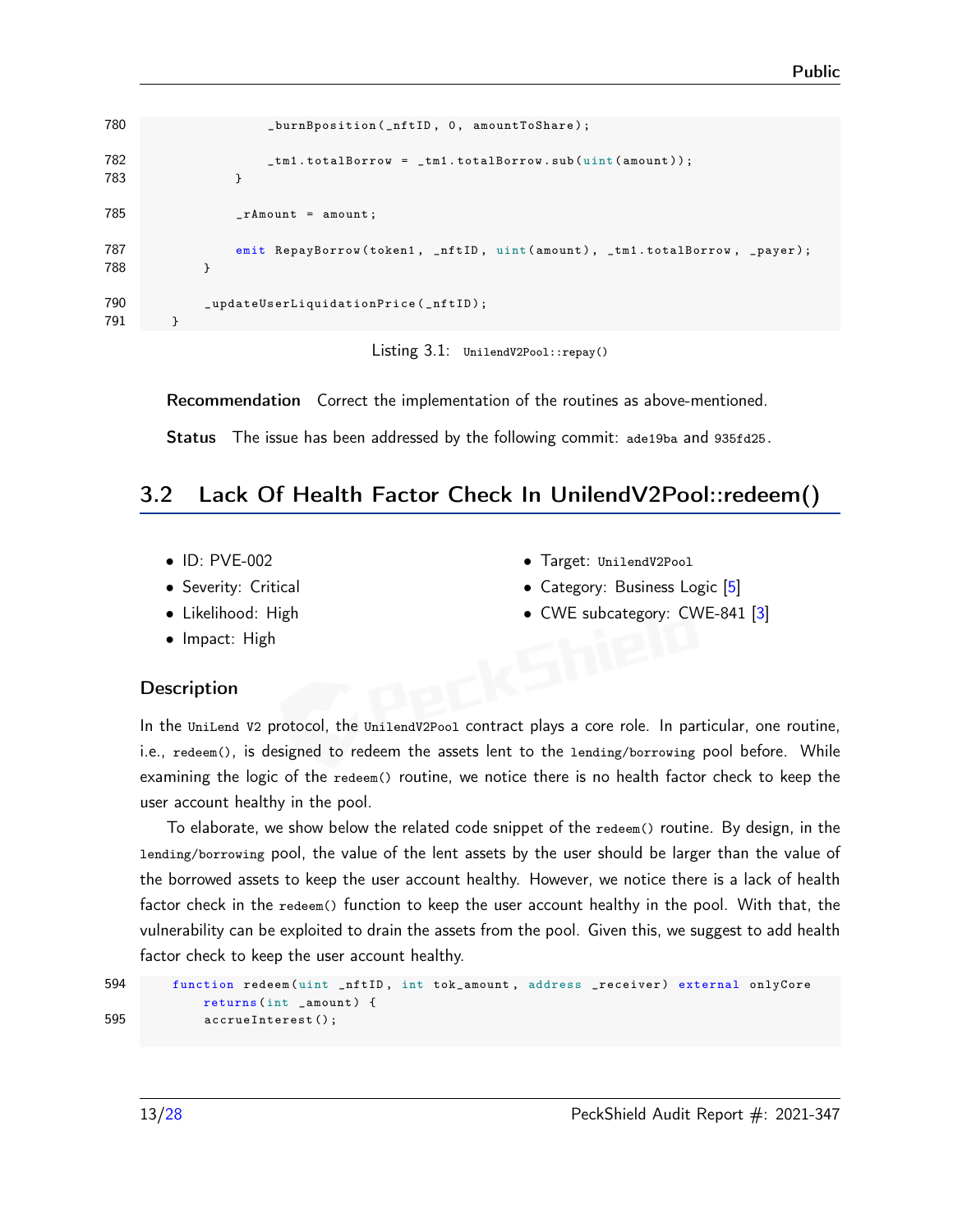```
780 _burnBposition (_nftID, 0, amountToShare);
782 tm1.totalBorrow = _tm1.totalBorrow.sub (uint (amount));
783 }
785 _rAmount = amount;
787 emit RepayBorrow (token1, _nftID, uint (amount), _tm1.totalBorrow, _payer);
788 }
790 _updateUserLiquidationPrice (_nftID);
791 }
```


Recommendation Correct the implementation of the routines as above-mentioned.

Status The issue has been addressed by the following commit: [ade19ba](https://github.com/UniLend/unilendv2/commit/ade19ba0e0d9440bff424ab1a13448030dcd1e5f) and [935fd25.](https://github.com/UniLend/unilendv2/commit/935fd2597c473cd338b2a4effdff12e7653d97ee)

#### <span id="page-12-0"></span>3.2 Lack Of Health Factor Check In UnilendV2Pool::redeem()

- ID: PVE-002
- Severity: Critical
- Likelihood: High
- Impact: High
- Target: UnilendV2Pool
- Category: Business Logic [\[5\]](#page-26-4)
- CWE subcategory: CWE-841 [\[3\]](#page-26-5)

#### **Description**

In the UniLend V2 protocol, the UnilendV2Pool contract plays a core role. In particular, one routine, i.e., redeem(), is designed to redeem the assets lent to the lending/borrowing pool before. While examining the logic of the redeem() routine, we notice there is no health factor check to keep the user account healthy in the pool.

To elaborate, we show below the related code snippet of the redeem() routine. By design, in the lending/borrowing pool, the value of the lent assets by the user should be larger than the value of the borrowed assets to keep the user account healthy. However, we notice there is a lack of health factor check in the redeem() function to keep the user account healthy in the pool. With that, the vulnerability can be exploited to drain the assets from the pool. Given this, we suggest to add health factor check to keep the user account healthy.

```
594 function redeem (uint _nftID, int tok_amount, address _receiver) external onlyCore
           returns ( int _amount ) {
595 accrueInterest () ;
```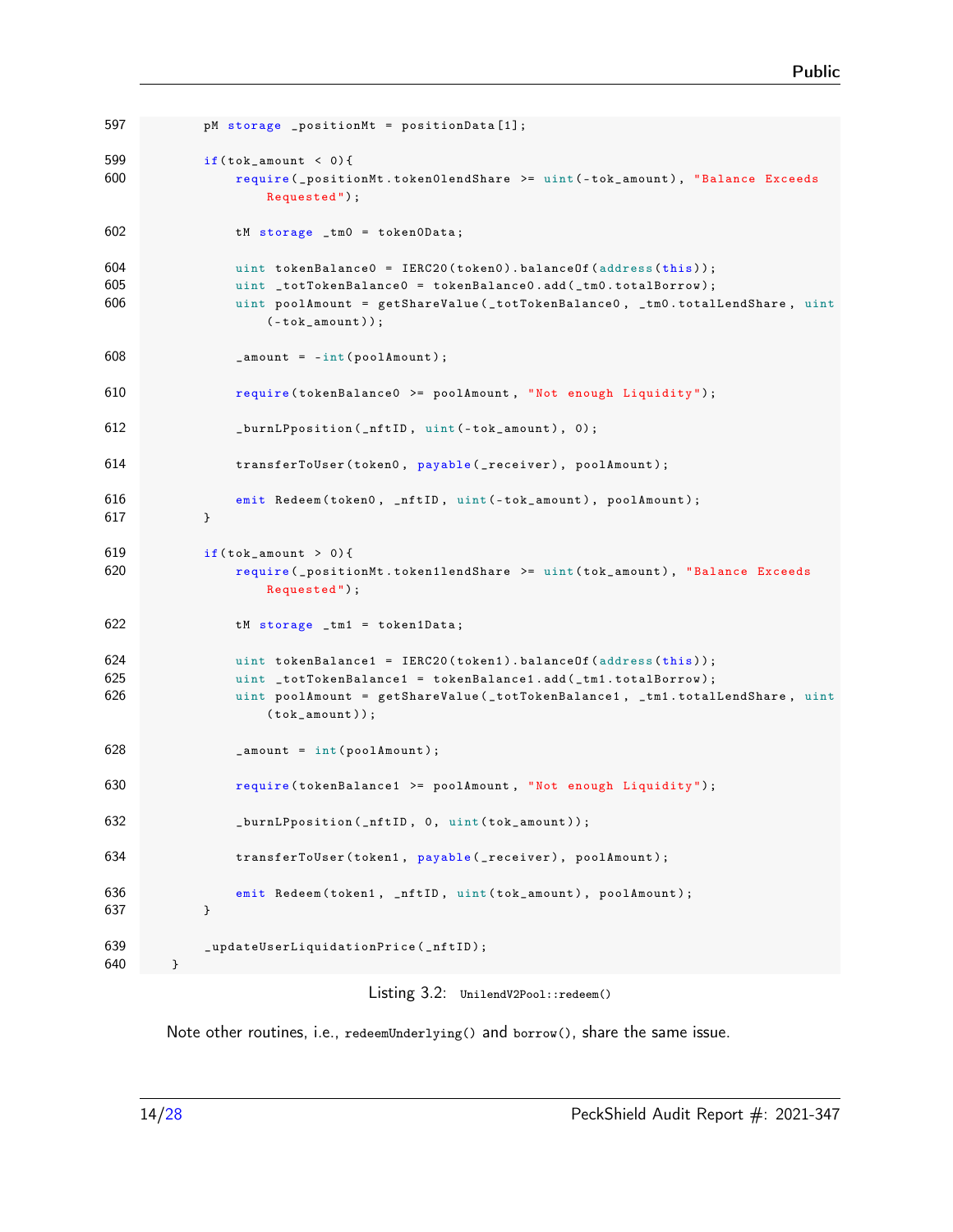```
597 pM storage _positionMt = positionData [1];
599 if(tok\_amount < 0){
600 require ( _positionMt . token0lendShare >= uint (- tok_amount ) , " Balance Exceeds
                  Requested ");
602 tM storage _tm0 = token0Data ;
604 uint tokenBalance0 = IERC20 ( token0 ). balanceOf ( address ( this ));
605 uint _totTokenBalance0 = tokenBalance0 . add ( _tm0 . totalBorrow );
606 uint poolAmount = getShareValue ( _totTokenBalance0 , _tm0 . totalLendShare , uint
                  (-\text{tok\_amount}));608 _amount = -int ( poolAmount );
610 require ( tokenBalance0 >= poolAmount , "Not enough Liquidity ") ;
612 _burnLPposition (_nftID, uint (-tok_amount), 0);
614 transferToUser (token0, payable (_receiver), poolAmount);
616 emit Redeem (token0, _nftID, uint (-tok_amount), poolAmount);
617 }
619 if(tok\_amount > 0)620 require ( _positionMt . token1lendShare >= uint ( tok_amount ) , " Balance Exceeds
                  Requested ");
622 tM storage _tm1 = token1Data ;
624 uint tokenBalance1 = IERC20(token1).balance0f(address(this));
625 uint _totTokenBalance1 = tokenBalance1 . add ( _tm1 . totalBorrow );
626 uint poolAmount = getShareValue ( _totTokenBalance1 , _tm1 . totalLendShare , uint
                  (tok_name);
628 _amount = int (poolAmount);
630 require ( tokenBalance1 >= poolAmount , "Not enough Liquidity ") ;
632 burnLPposition (_nftID, 0, uint (tok_amount));
634 transferToUser (token1, payable (_receiver), poolAmount);
636 emit Redeem (token1, _nftID, uint (tok_amount), poolAmount);
637 }
639 _updateUserLiquidationPrice ( _nftID );
640 }
```
Listing 3.2: UnilendV2Pool::redeem()

Note other routines, i.e., redeemUnderlying() and borrow(), share the same issue.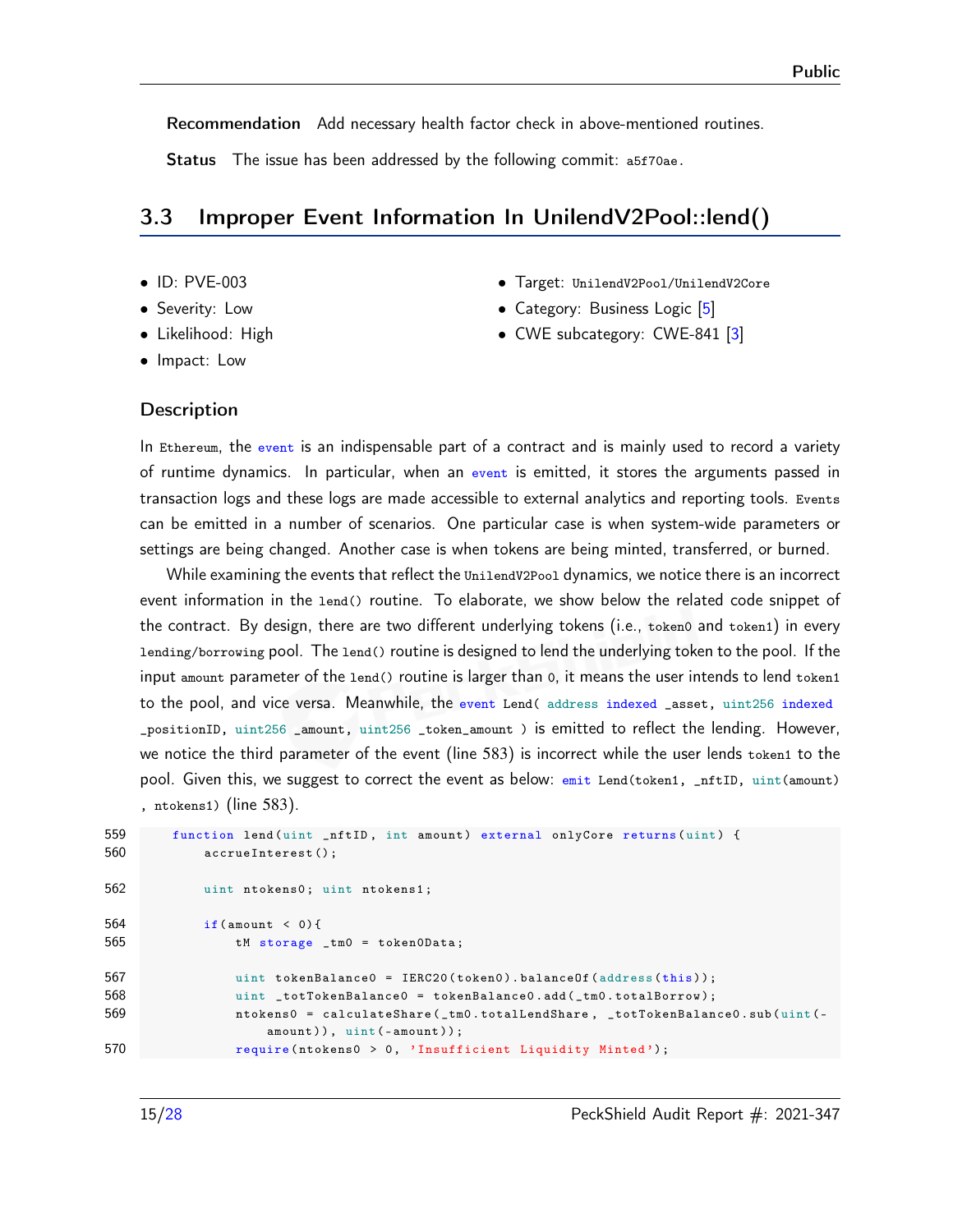Recommendation Add necessary health factor check in above-mentioned routines.

Status The issue has been addressed by the following commit: [a5f70ae.](https://github.com/UniLend/unilendv2/commit/a5f70ae10f4ebf0268462d052c1803e8efa2d078)

#### <span id="page-14-0"></span>3.3 Improper Event Information In UnilendV2Pool::lend()

- ID: PVE-003
- Severity: Low
- Likelihood: High
- Impact: Low
- Target: UnilendV2Pool/UnilendV2Core
- Category: Business Logic [\[5\]](#page-26-4)
- CWE subcategory: CWE-841 [\[3\]](#page-26-5)

#### **Description**

In Ethereum, the event is an indispensable part of a contract and is mainly used to record a variety of runtime dynamics. In particular, when an event is emitted, it stores the arguments passed in transaction logs and these logs are made accessible to external analytics and reporting tools. Events can be emitted in a number of scenarios. One particular case is when system-wide parameters or settings are being changed. Another case is when tokens are being minted, transferred, or burned.

While examining the events that reflect the UnilendV2Pool dynamics, we notice there is an incorrect event information in the lend() routine. To elaborate, we show below the related code snippet of the contract. By design, there are two different underlying tokens (i.e., token0 and token1) in every lending/borrowing pool. The lend() routine is designed to lend the underlying token to the pool. If the input amount parameter of the lend() routine is larger than 0, it means the user intends to lend token1 to the pool, and vice versa. Meanwhile, the event Lend( address indexed \_asset, uint256 indexed \_positionID, uint256 \_amount, uint256 \_token\_amount ) is emitted to reflect the lending. However, we notice the third parameter of the event (line 583) is incorrect while the user lends token1 to the pool. Given this, we suggest to correct the event as below:  $emit$  Lend(token1, \_nftID, uint(amount) , ntokens1) (line 583).

| 559 | function lend(uint _nftID, int amount) external onlyCore returns(uint) {                                      |
|-----|---------------------------------------------------------------------------------------------------------------|
| 560 | $\texttt{accuru}$ .                                                                                           |
| 562 | uint ntokens0; uint ntokens1;                                                                                 |
| 564 | if (amount $\langle 0 \rangle$ {                                                                              |
| 565 | $t$ M storage _tm0 = token0Data;                                                                              |
| 567 | uint tokenBalance0 = $IERC20(token0)$ .balanceOf(address(this));                                              |
| 568 | uint _totTokenBalance0 = tokenBalance0.add(_tm0.totalBorrow);                                                 |
| 569 | ntokens0 = calculateShare(_tm0.totalLendShare, _totTokenBalance0.sub(uint(-<br>$amount)$ , $uint(-amount))$ ; |
| 570 | require(ntokens $0 > 0$ , 'Insufficient Liquidity Minted');                                                   |
|     |                                                                                                               |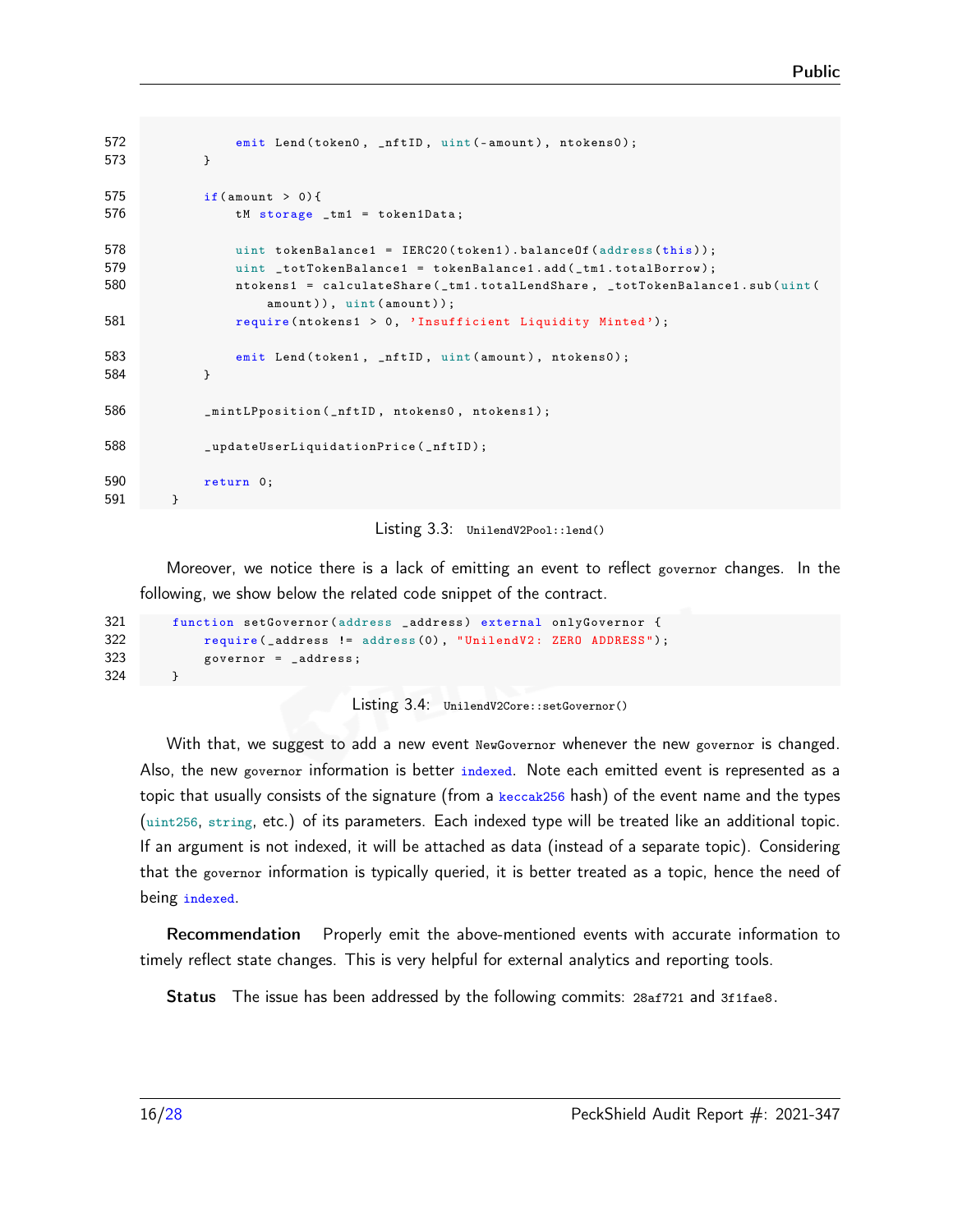```
572 emit Lend (token0, _nftID, uint (-amount), ntokens0);
573 }
575 if(amount > 0)576 tM storage _tm1 = token1Data;
578 uint tokenBalance1 = IERC20(token1).balanceOf (address (this));
579 uint totTokenBalance1 = tokenBalance1.add(_tm1.totalBorrow);
580 ntokens1 = calculateShare ( _tm1 . totalLendShare , _totTokenBalance1 . sub ( uint (
                 amount)), uint (amount));
581 require (ntokens1 > 0, 'Insufficient Liquidity Minted');
583 emit Lend (token1, _nftID, uint (amount), ntokens0);
584 }
586 _mintLPposition ( _nftID , ntokens0 , ntokens1 );
588 _updateUserLiquidationPrice ( _nftID );
590 return 0;
591 }
```


Moreover, we notice there is a lack of emitting an event to reflect governor changes. In the following, we show below the related code snippet of the contract.

```
321 function setGovernor ( address _address ) external onlyGovernor {
322 require (_address != address (0), "UnilendV2: ZERO ADDRESS");
323 governor = _address ;
324
```


With that, we suggest to add a new event NewGovernor whenever the new governor is changed. Also, the new governor information is better indexed. Note each emitted event is represented as a topic that usually consists of the signature (from a  $\frac{keccak256}{hash}$ ) of the event name and the types (uint256, string, etc.) of its parameters. Each indexed type will be treated like an additional topic. If an argument is not indexed, it will be attached as data (instead of a separate topic). Considering that the governor information is typically queried, it is better treated as a topic, hence the need of being indexed.

Recommendation Properly emit the above-mentioned events with accurate information to timely reflect state changes. This is very helpful for external analytics and reporting tools.

Status The issue has been addressed by the following commits: [28af721](https://github.com/UniLend/unilendv2/commit/28af72178e00ebc5479c5bb90ba2b490ec347d62) and [3f1fae8.](https://github.com/UniLend/unilendv2/commit/3f1fae83a6785d802eed298bf1edd4bc85fc9254)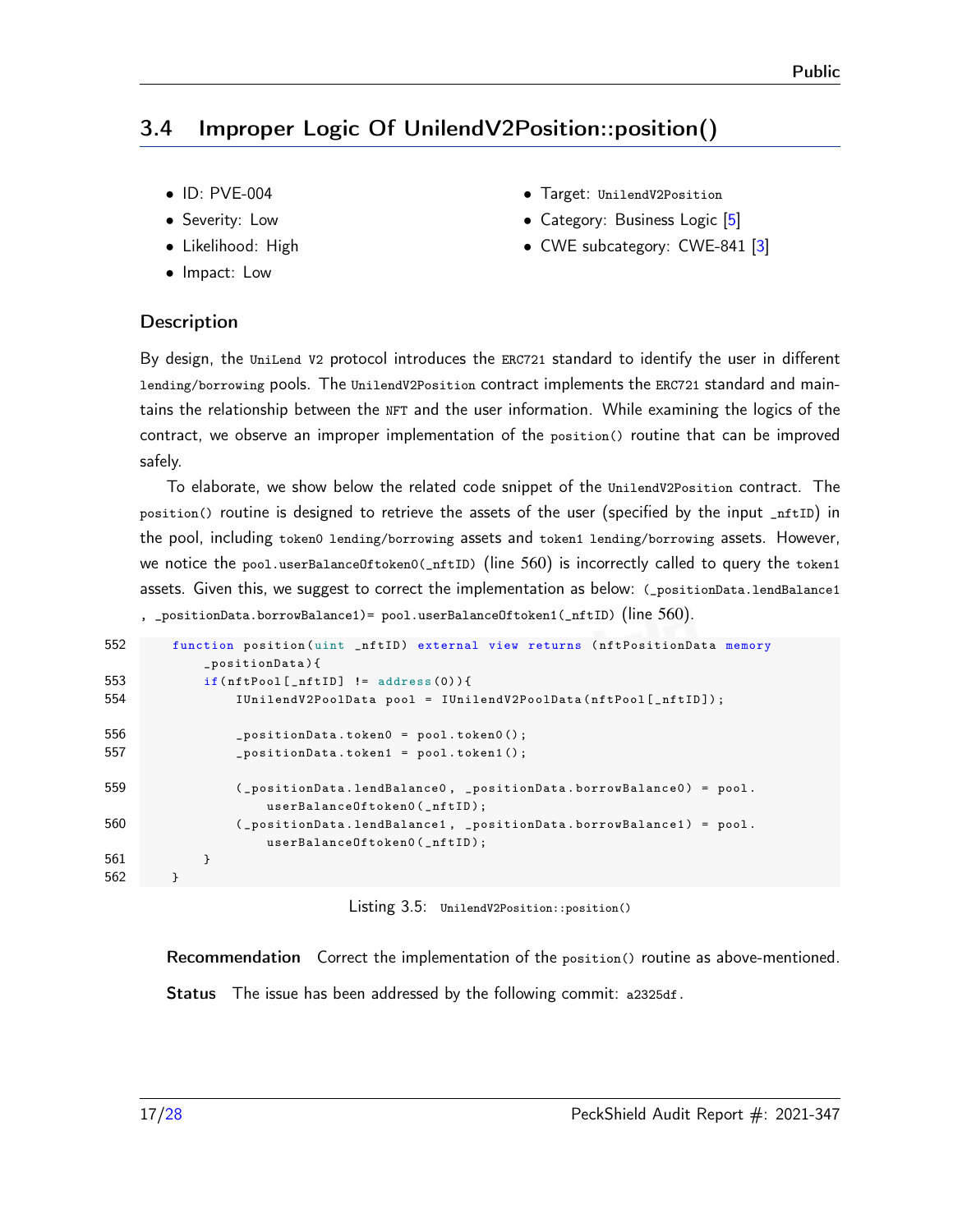## <span id="page-16-0"></span>3.4 Improper Logic Of UnilendV2Position::position()

- ID: PVE-004
- Severity: Low
- Likelihood: High
- Impact: Low
- Target: UnilendV2Position
- Category: Business Logic [\[5\]](#page-26-4)
- CWE subcategory: CWE-841 [\[3\]](#page-26-5)

#### **Description**

By design, the UniLend V2 protocol introduces the ERC721 standard to identify the user in different lending/borrowing pools. The UnilendV2Position contract implements the ERC721 standard and maintains the relationship between the NFT and the user information. While examining the logics of the contract, we observe an improper implementation of the position() routine that can be improved safely.

To elaborate, we show below the related code snippet of the UnilendV2Position contract. The position() routine is designed to retrieve the assets of the user (specified by the input \_nftID) in the pool, including token0 lending/borrowing assets and token1 lending/borrowing assets. However, we notice the pool.userBalanceOftoken0(\_nftID) (line 560) is incorrectly called to query the token1 assets. Given this, we suggest to correct the implementation as below: (\_positionData.lendBalance1

, \_positionData.borrowBalance1)= pool.userBalanceOftoken1(\_nftID) (line 560).

| 552 | function position (uint _nftID) external view returns (nftPositionData memory<br>$_{\text{positionData}}$ }{ |
|-----|--------------------------------------------------------------------------------------------------------------|
| 553 | $if(nftPool[ntID] != address(0))$                                                                            |
| 554 | IUnilendV2PoolData pool = IUnilendV2PoolData(nftPool[_nftID]);                                               |
| 556 | $_{\text{positionData.token0}}$ = pool.token0();                                                             |
| 557 | $positionData.token1 = pool.token1();$                                                                       |
| 559 | $($ positionData.lendBalance0, positionData.borrowBalance0) = pool.<br>$userBalanceOftoken() (__nftID);$     |
| 560 | (_positionData.lendBalance1, _positionData.borrowBalance1) = pool.<br>$userBalanceOftoken() (__nftID);$      |
| 561 | ł                                                                                                            |
| 562 |                                                                                                              |

Listing 3.5: UnilendV2Position::position()

Recommendation Correct the implementation of the position() routine as above-mentioned. Status The issue has been addressed by the following commit: [a2325df.](https://github.com/UniLend/unilendv2/commit/a2325dfc7367bb6840784542504b1a65250c4a45)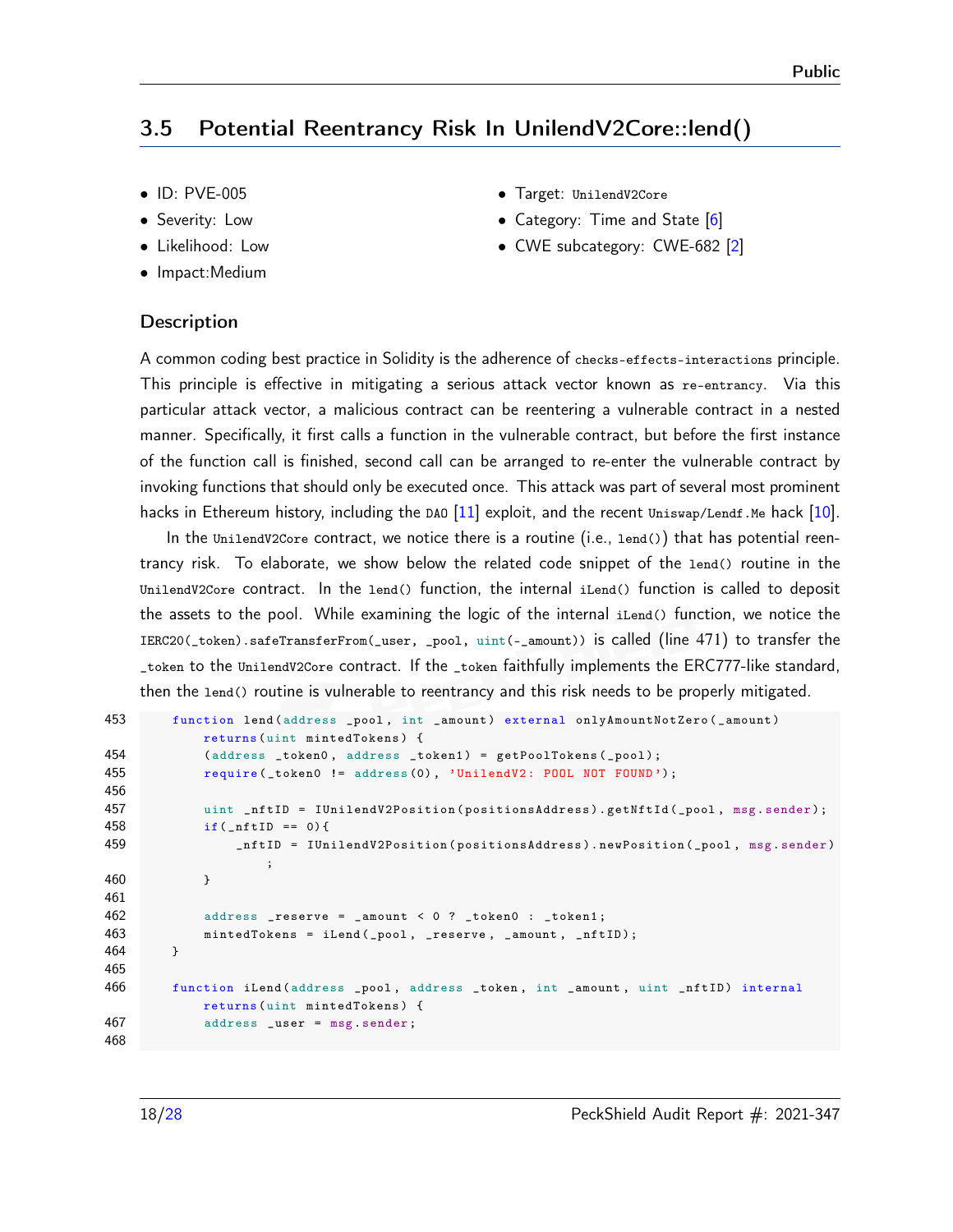#### <span id="page-17-0"></span>3.5 Potential Reentrancy Risk In UnilendV2Core::lend()

- ID: PVE-005
- Severity: Low
- Likelihood: Low
- Impact:Medium
- **Description**
- Target: UnilendV2Core
- Category: Time and State [\[6\]](#page-26-6)
- CWE subcategory: CWE-682 [\[2\]](#page-26-7)

A common coding best practice in Solidity is the adherence of checks-effects-interactions principle. This principle is effective in mitigating a serious attack vector known as re-entrancy. Via this particular attack vector, a malicious contract can be reentering a vulnerable contract in a nested manner. Specifically, it first calls a function in the vulnerable contract, but before the first instance of the function call is finished, second call can be arranged to re-enter the vulnerable contract by invoking functions that should only be executed once. This attack was part of several most prominent hacks in Ethereum history, including the DAO  $[11]$  exploit, and the recent Uniswap/Lendf.Me hack  $[10]$ .

In the UnilendV2Core contract, we notice there is a routine (i.e., lend()) that has potential reentrancy risk. To elaborate, we show below the related code snippet of the lend() routine in the UnilendV2Core contract. In the lend() function, the internal iLend() function is called to deposit the assets to the pool. While examining the logic of the internal iLend() function, we notice the IERC20(\_token).safeTransferFrom(\_user, \_pool, uint(-\_amount)) is called (line 471) to transfer the \_token to the UnilendV2Core contract. If the \_token faithfully implements the ERC777-like standard, then the lend() routine is vulnerable to reentrancy and this risk needs to be properly mitigated.

```
453 function lend (address _pool, int _amount) external onlyAmountNotZero (_amount)
            returns ( uint mintedTokens ) {
454 (address _token0, address _token1) = getPoolTokens (_pool);
455 require ( _token0 != address (0) , 'UnilendV2 : POOL NOT FOUND ');
456
457 uint _nftID = IUnilendV2Position (positionsAddress).getNftId (_pool, msg.sender);
458 if(\text{__nftID == 0})459 _nftID = IUnilendV2Position ( positionsAddress ). newPosition (_pool , msg . sender )
                   ;
460 }
461
462 address _reserve = _amount < 0 ? _token0 : _token1 ;
463 mintedTokens = iLend (_pool , _reserve , _amount , _nftID );
464 }
465
466 function iLend ( address _pool , address _token , int _amount , uint _nftID ) internal
           returns ( uint mintedTokens ) {
467 address _user = msg . sender ;
468
```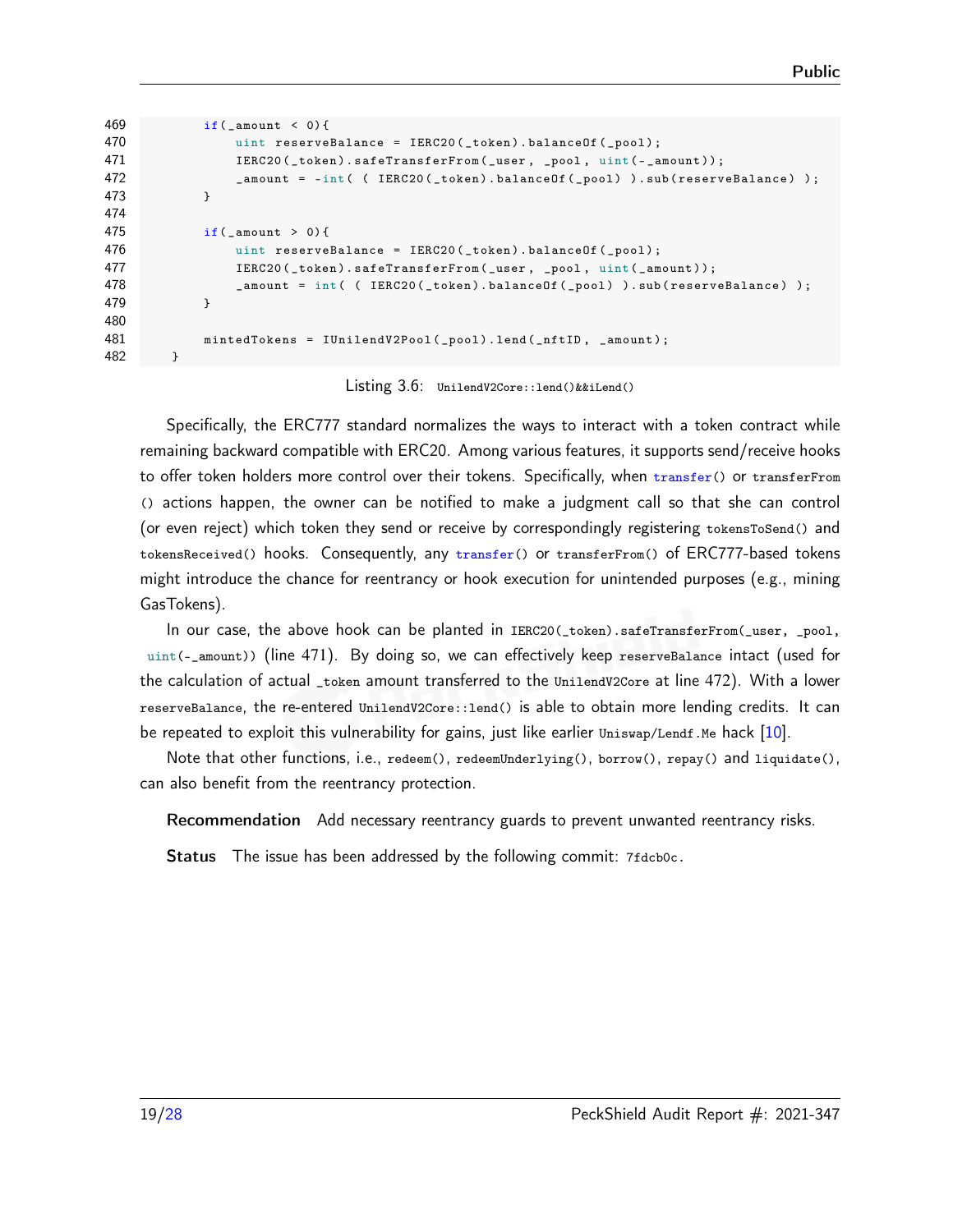```
469 if( _amount < 0) {
470 uint reserveBalance = IERC20(_token).balanceOf(_pool);
471 IERC20(_token).safeTransferFrom(_user, _pool, uint(-_amount));
472 Agains 2 _amount = -int ( ( IERC20 (_token ) .balance Of (_pool ) ) .sub (reserveBalance ) );
473 }
474
475 if(\text{amount} > 0)476 uint reserveBalance = IERC20(_token).balanceOf(_pool);
477 IERC20 (_token).safeTransferFrom (_user, _pool, uint (_amount));
478 amount = int ( ( IERC20 (_token ). balance Of (_pool ) ). sub (reserveBalance ) );
479 }
480
481 mintedTokens = IUnilendV2Pool (_pool).lend(_nftID, _amount);
482 }
```
Listing 3.6: UnilendV2Core::lend()&&iLend()

Specifically, the ERC777 standard normalizes the ways to interact with a token contract while remaining backward compatible with ERC20. Among various features, it supports send/receive hooks to offer token holders more control over their tokens. Specifically, when transfer() or transferFrom () actions happen, the owner can be notified to make a judgment call so that she can control (or even reject) which token they send or receive by correspondingly registering tokensToSend() and tokensReceived() hooks. Consequently, any transfer() or transferFrom() of ERC777-based tokens might introduce the chance for reentrancy or hook execution for unintended purposes (e.g., mining GasTokens).

In our case, the above hook can be planted in IERC20(\_token).safeTransferFrom(\_user, \_pool, uint(-\_amount)) (line 471). By doing so, we can effectively keep reserveBalance intact (used for the calculation of actual \_token amount transferred to the UnilendV2Core at line 472). With a lower reserveBalance, the re-entered UnilendV2Core::lend() is able to obtain more lending credits. It can be repeated to exploit this vulnerability for gains, just like earlier  $\text{Uniswap/Lendf.}$  Me hack [\[10\]](#page-26-8).

Note that other functions, i.e., redeem(), redeemUnderlying(), borrow(), repay() and liquidate(), can also benefit from the reentrancy protection.

Recommendation Add necessary reentrancy guards to prevent unwanted reentrancy risks.

Status The issue has been addressed by the following commit: [7fdcb0c.](https://github.com/UniLend/unilendv2/commit/7fdcb0cf58702dbba77794b9487a5c63b5018162)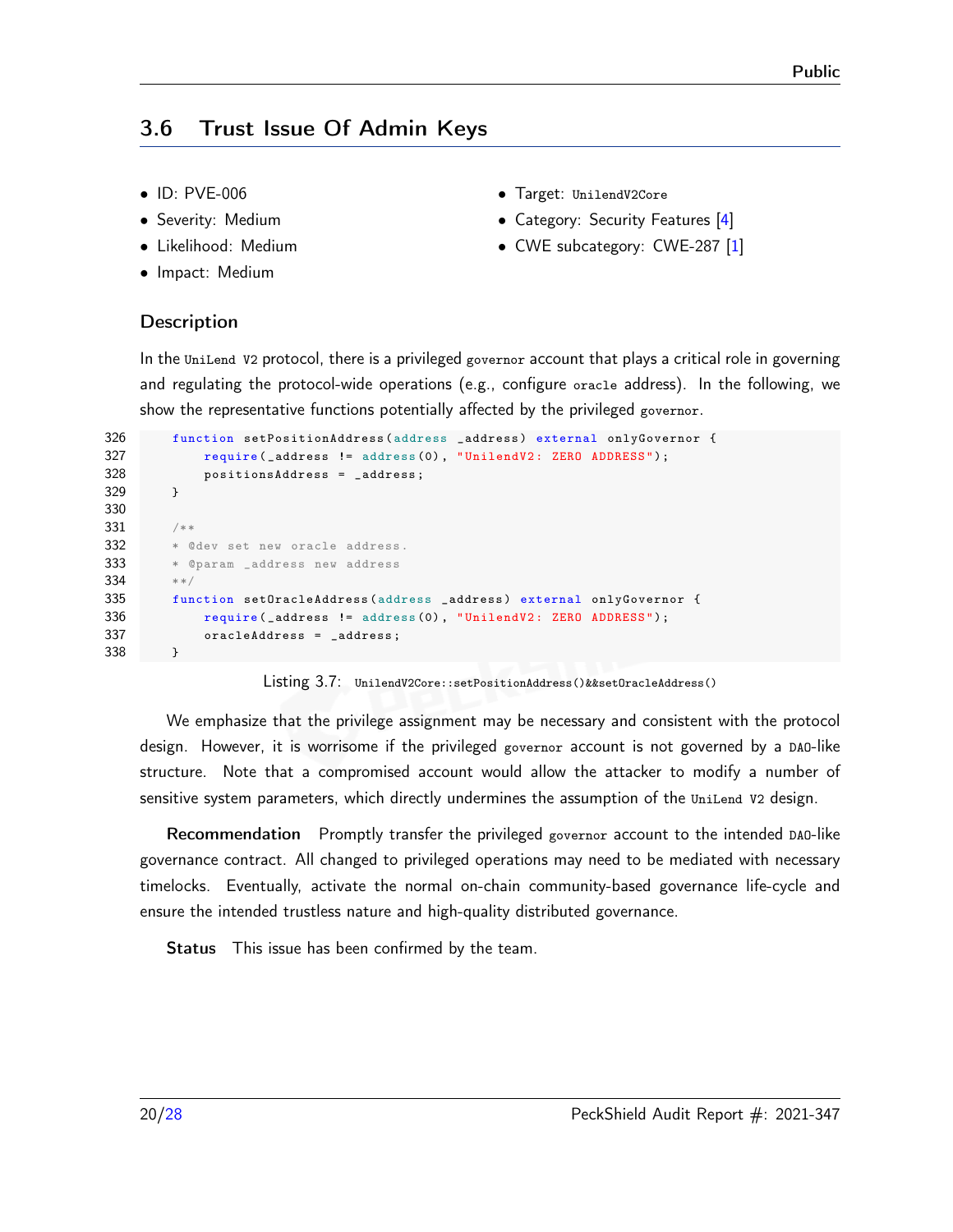## <span id="page-19-0"></span>3.6 Trust Issue Of Admin Keys

- ID: PVE-006
- Severity: Medium
- Likelihood: Medium
- Impact: Medium
- Target: UnilendV2Core
- Category: Security Features [\[4\]](#page-26-9)
- CWE subcategory: CWE-287 [\[1\]](#page-26-10)

#### **Description**

In the UniLend V2 protocol, there is a privileged governor account that plays a critical role in governing and regulating the protocol-wide operations (e.g., configure oracle address). In the following, we show the representative functions potentially affected by the privileged governor.

```
326 function setPositionAddress ( address _address ) external onlyGovernor {
327 require (_address != address (0), "UnilendV2: ZERO ADDRESS");
328 positionsAddress = _address ;
329 }
330
331 /**
332 * @dev set new oracle address.
333 * @param _address new address
334 **/
335 function setOracleAddress ( address _address ) external onlyGovernor {
336 require (_address != address (0), "UnilendV2: ZERO ADDRESS");
337 oracleAddress = _address ;
338 }
```
Listing 3.7: UnilendV2Core::setPositionAddress()&&setOracleAddress()

We emphasize that the privilege assignment may be necessary and consistent with the protocol design. However, it is worrisome if the privileged governor account is not governed by a DAO-like structure. Note that a compromised account would allow the attacker to modify a number of sensitive system parameters, which directly undermines the assumption of the UniLend V2 design.

Recommendation Promptly transfer the privileged governor account to the intended DAO-like governance contract. All changed to privileged operations may need to be mediated with necessary timelocks. Eventually, activate the normal on-chain community-based governance life-cycle and ensure the intended trustless nature and high-quality distributed governance.

Status This issue has been confirmed by the team.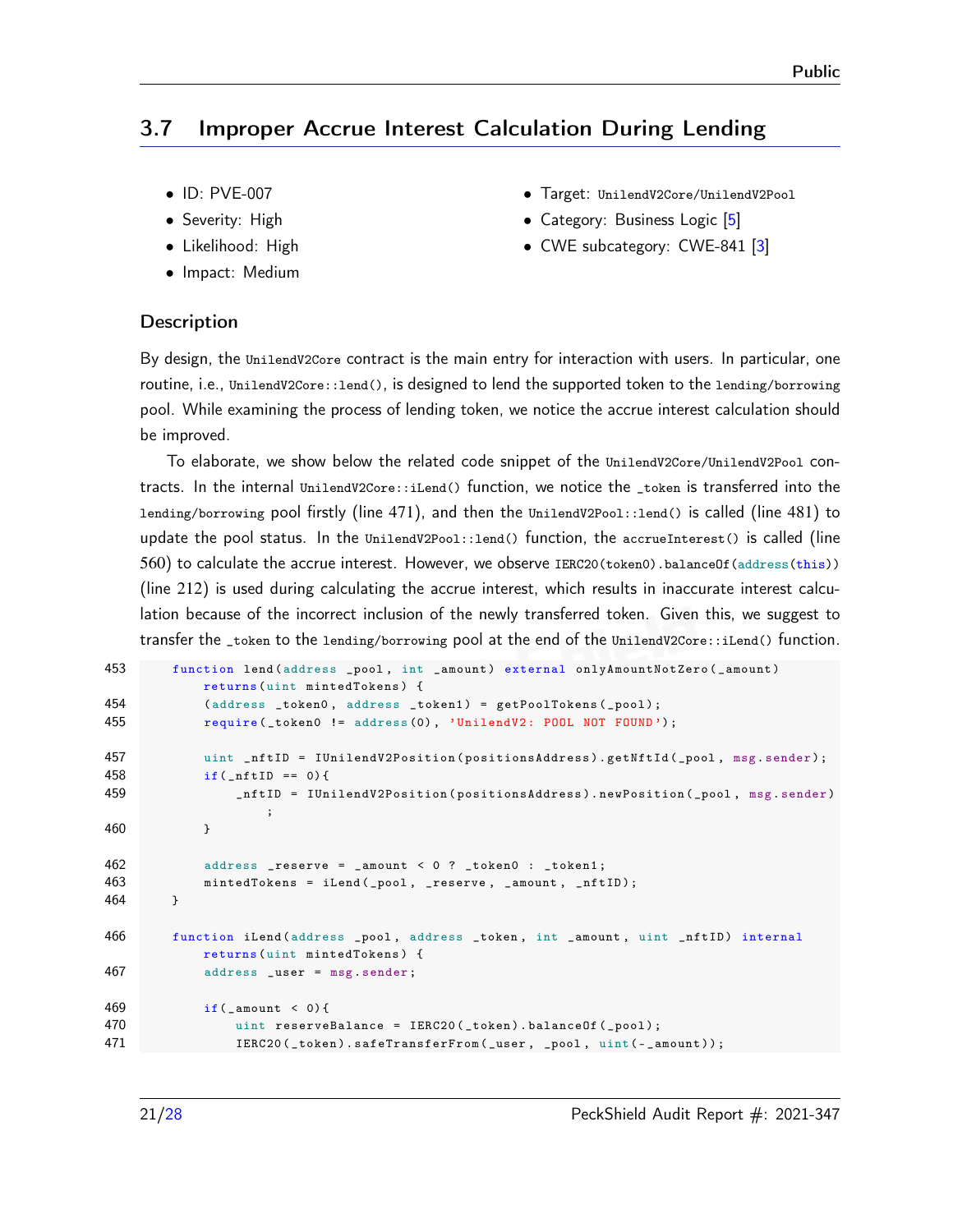## <span id="page-20-0"></span>3.7 Improper Accrue Interest Calculation During Lending

- ID: PVE-007
- Severity: High
- Likelihood: High
- Impact: Medium
- Target: UnilendV2Core/UnilendV2Pool
- Category: Business Logic [\[5\]](#page-26-4)
- CWE subcategory: CWE-841 [\[3\]](#page-26-5)

#### **Description**

By design, the UnilendV2Core contract is the main entry for interaction with users. In particular, one routine, i.e., UnilendV2Core::lend(), is designed to lend the supported token to the lending/borrowing pool. While examining the process of lending token, we notice the accrue interest calculation should be improved.

To elaborate, we show below the related code snippet of the UnilendV2Core/UnilendV2Pool contracts. In the internal UnilendV2Core::iLend() function, we notice the \_token is transferred into the lending/borrowing pool firstly (line 471), and then the UnilendV2Pool::lend() is called (line 481) to update the pool status. In the UnilendV2Pool::lend() function, the accrueInterest() is called (line 560) to calculate the accrue interest. However, we observe IERC20(token0).balanceOf(address(this)) (line 212) is used during calculating the accrue interest, which results in inaccurate interest calculation because of the incorrect inclusion of the newly transferred token. Given this, we suggest to transfer the \_token to the lending/borrowing pool at the end of the UnilendV2Core::iLend() function.

```
453 function lend (address _pool, int _amount) external onlyAmountNotZero (_amount)
           returns ( uint mintedTokens ) {
454 (address _token0, address _token1) = getPoolTokens (_pool);
455 require (_token0 != address (0), 'UnilendV2: POOL NOT FOUND');
457 uint _nftID = IUnilendV2Position (positionsAddress).getNftId (_pool, msg.sender);
458 if(\text{inftID} == 0)459 _nftID = IUnilendV2Position ( positionsAddress ). newPosition (_pool , msg . sender )
                   ;
460 }
462 address _reserve = _amount < 0 ? _token0 : _token1 ;
463 mintedTokens = iLend (_pool , _reserve , _amount , _nftID );
464 }
466 function iLend ( address _pool , address _token , int _amount , uint _nftID ) internal
           returns ( uint mintedTokens ) {
467 address _user = msg . sender ;
469 if(\text{amount} < 0){
470 uint reserveBalance = IERC20(_token).balanceOf(_pool);
471 IERC20(_token).safeTransferFrom(_user, _pool, uint(-_amount));
```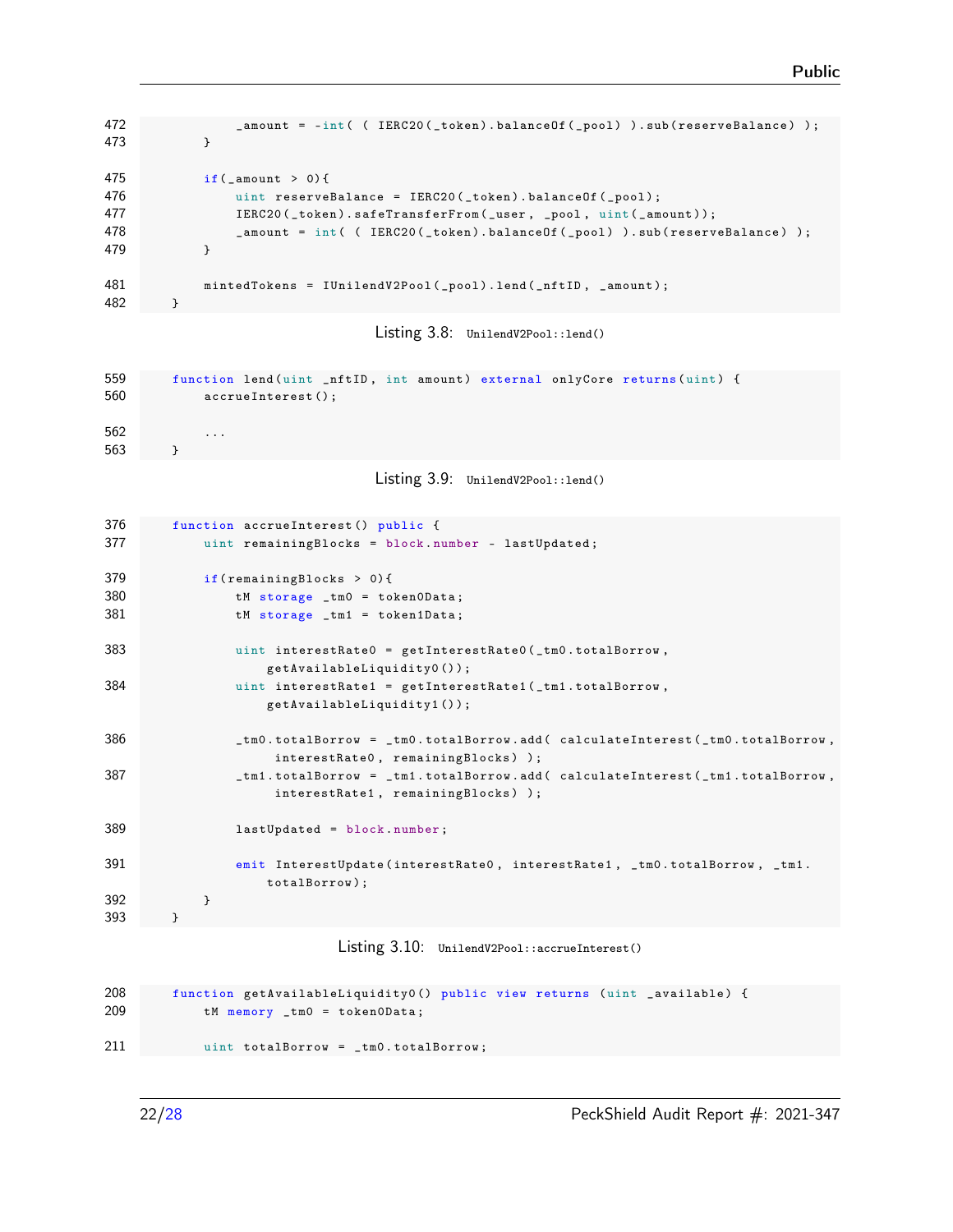```
472 amount = -int ( ( IERC20 ( _token ) . balance Of ( _pool ) ) . sub (reserveBalance ) );
473 }
475 if( _amount > 0) {
476 uint reserveBalance = IERC20(_token).balanceOf(_pool);
477 IERC20(_token).safeTransferFrom(_user, _pool, uint(_amount));
478 amount = int ( ( IERC20 (_token ). balanceOf (_pool ) ). sub (reserveBalance ) );
479 }
481 mintedTokens = IUnilendV2Pool ( _pool ). lend ( _nftID , _amount ) ;
482 }
```
Listing 3.8: UnilendV2Pool::lend()

```
559 function lend (uint _nftID, int amount) external onlyCore returns (uint) {
560 accrueInterest () ;
562 ...
563 }
```
Listing 3.9: UnilendV2Pool::lend()

| 376 | function accrueInterest() public {                                                           |
|-----|----------------------------------------------------------------------------------------------|
| 377 | uint remainingBlocks = block.number - lastUpdated;                                           |
| 379 | if $(remaining Blocks > 0)$ {                                                                |
| 380 | $t$ M storage _tm0 = token0Data;                                                             |
| 381 | $t$ M storage _tm1 = token1Data;                                                             |
| 383 | uint interestRate0 = $getInterestRate0( _tm0. totalBorrow, )$<br>$getAvailableLightity0()$ ; |
| 384 | uint interestRate1 = $getInterestRate1( _tm1. totalBorrow, )$                                |
|     | getAvailableLiquidity1());                                                                   |
| 386 | _tm0.totalBorrow = _tm0.totalBorrow.add( calculateInterest(_tm0.totalBorrow,                 |
|     | interestRate0, remainingBlocks) );                                                           |
| 387 | _tm1.totalBorrow = _tm1.totalBorrow.add(calculateInterest(_tm1.totalBorrow,                  |
|     | interestRate1, remainingBlocks));                                                            |
| 389 | $lastUpdate = block_number;$                                                                 |
| 391 | emit InterestUpdate(interestRate0, interestRate1, _tm0.totalBorrow, _tm1.                    |
|     | totalBorrow);                                                                                |
| 392 | }                                                                                            |
| 393 | }                                                                                            |

Listing 3.10: UnilendV2Pool::accrueInterest()

```
208 function getAvailableLiquidity0 () public view returns ( uint _available ) {
209 tM memory _tm0 = token0Data ;
211 uint totalBorrow = _tm0 . totalBorrow ;
```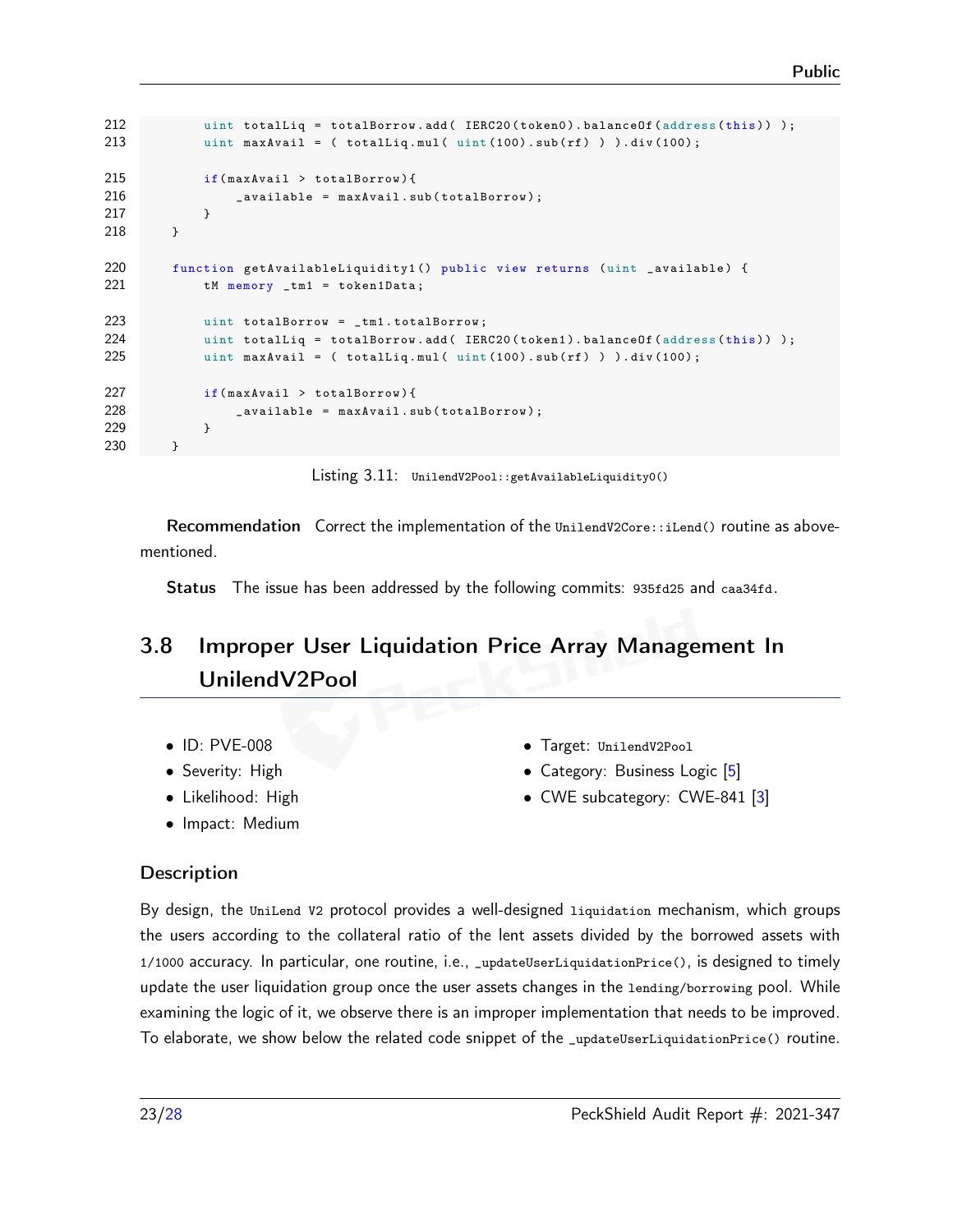```
212 uint totalLiq = totalBorrow.add (IERC20 (token0).balanceOf (address (this)) );
213 uint maxAvail = ( totalLiq.mul( uint (100).sub(rf) ) ).div(100);
215 if( maxAvail > totalBorrow ){
216 _available = maxAvail . sub ( totalBorrow );
217 }
218 }
220 function getAvailableLiquidity1 () public view returns (uint _available) {
221 tM memory _tm1 = token1Data;
223 uint totalBorrow = _tm1 . totalBorrow ;
224 uint totalLiq = totalBorrow.add (IERC20 (token1).balanceOf (address (this)) );
225 uint maxAvail = ( totalLiq.mul( uint(100).sub(rf) ) ).div(100);
227 if( maxAvail > totalBorrow ){
228 _available = maxAvail . sub ( totalBorrow );
229 }
230 }
```
Listing 3.11: UnilendV2Pool::getAvailableLiquidity0()

Recommendation Correct the implementation of the UnilendV2Core::iLend() routine as abovementioned.

Status The issue has been addressed by the following commits: [935fd25](https://github.com/UniLend/unilendv2/commit/935fd2597c473cd338b2a4effdff12e7653d97ee) and [caa34fd.](https://github.com/UniLend/unilendv2/commit/caa34fda352405e302b33c8c74277768c48f71f7)

# <span id="page-22-0"></span>3.8 Improper User Liquidation Price Array Management In UnilendV2Pool

- ID: PVE-008
- Severity: High
- Likelihood: High
- Impact: Medium
- Target: UnilendV2Pool
- Category: Business Logic [\[5\]](#page-26-4)
- CWE subcategory: CWE-841 [\[3\]](#page-26-5)

#### **Description**

By design, the UniLend V2 protocol provides a well-designed liquidation mechanism, which groups the users according to the collateral ratio of the lent assets divided by the borrowed assets with 1/1000 accuracy. In particular, one routine, i.e., \_updateUserLiquidationPrice(), is designed to timely update the user liquidation group once the user assets changes in the lending/borrowing pool. While examining the logic of it, we observe there is an improper implementation that needs to be improved. To elaborate, we show below the related code snippet of the \_updateUserLiquidationPrice() routine.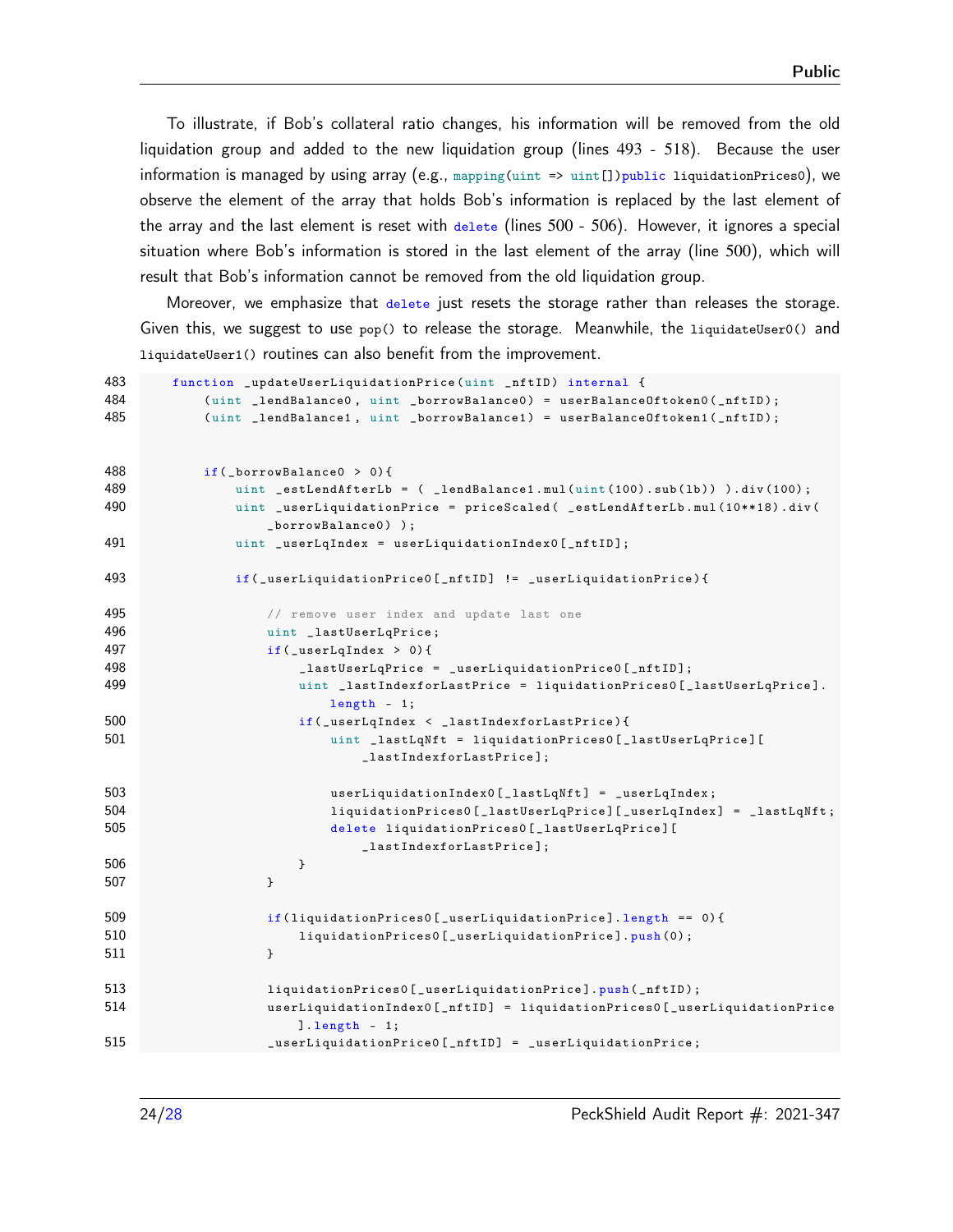To illustrate, if Bob's collateral ratio changes, his information will be removed from the old liquidation group and added to the new liquidation group (lines 493 - 518). Because the user information is managed by using array (e.g., mapping(uint => uint[])public liquidationPrices0), we observe the element of the array that holds Bob's information is replaced by the last element of the array and the last element is reset with  $_{\text{delete}}$  (lines 500 - 506). However, it ignores a special situation where Bob's information is stored in the last element of the array (line 500), which will result that Bob's information cannot be removed from the old liquidation group.

Moreover, we emphasize that delete just resets the storage rather than releases the storage. Given this, we suggest to use pop() to release the storage. Meanwhile, the liquidateUser0() and liquidateUser1() routines can also benefit from the improvement.

```
483 function _updateUserLiquidationPrice ( uint _nftID ) internal {
484 (uint _lendBalance0, uint _borrowBalance0) = userBalanceOftoken0(_nftID);
485 ( uint _lendBalance1 , uint _borrowBalance1 ) = userBalanceOftoken1 ( _nftID );
488 if( _borrowBalance0 > 0) {
489 uint _estLendAfterLb = ( _lendBalance1.mul(uint(100).sub(1b)) ).div(100);
490 uint _userLiquidationPrice = priceScaled ( _estLendAfterLb . mul (10**18) . div (
                _borrowBalance0 ) );
491 uint _userLqIndex = userLiquidationIndex0[_nftID];
493 if( _userLiquidationPrice0 [ _nftID ] != _userLiquidationPrice ){
495 // remove user index and update last one
496 uint _lastUserLqPrice ;
497 if (_userLqIndex > 0) {
498 _lastUserLqPrice = _userLiquidationPrice0 [ _nftID ];
499 uint _lastIndexforLastPrice = liquidationPrices0 [ _lastUserLqPrice ].
                       length - 1;
500 if(_userLqIndex < _lastIndexforLastPrice){
501 uint _lastLqNft = liquidationPrices0 [ _lastUserLqPrice ][
                          _lastIndexforLastPrice ];
503 userLiquidationIndex0 [ _lastLqNft] = _userLqIndex;
504 liquidationPrices0 [_lastUserLqPrice] [_userLqIndex] = _lastLqNft;
505 delete liquidationPrices0 [ _lastUserLqPrice ][
                          _lastIndexforLastPrice ];
506 }
507 }
509 if( liquidationPrices0 [ _userLiquidationPrice ]. length == 0) {
510 liquidationPrices0 [_userLiquidationPrice].push (0);
511 }
513 1iquidationPrices0 [ _userLiquidationPrice].push ( _nftID );
514 userLiquidationIndex0 [ _nftID ] = liquidationPrices0 [ _userLiquidationPrice
                    ]. length - 1;
515 _userLiquidationPrice0 [ _nftID ] = _userLiquidationPrice ;
```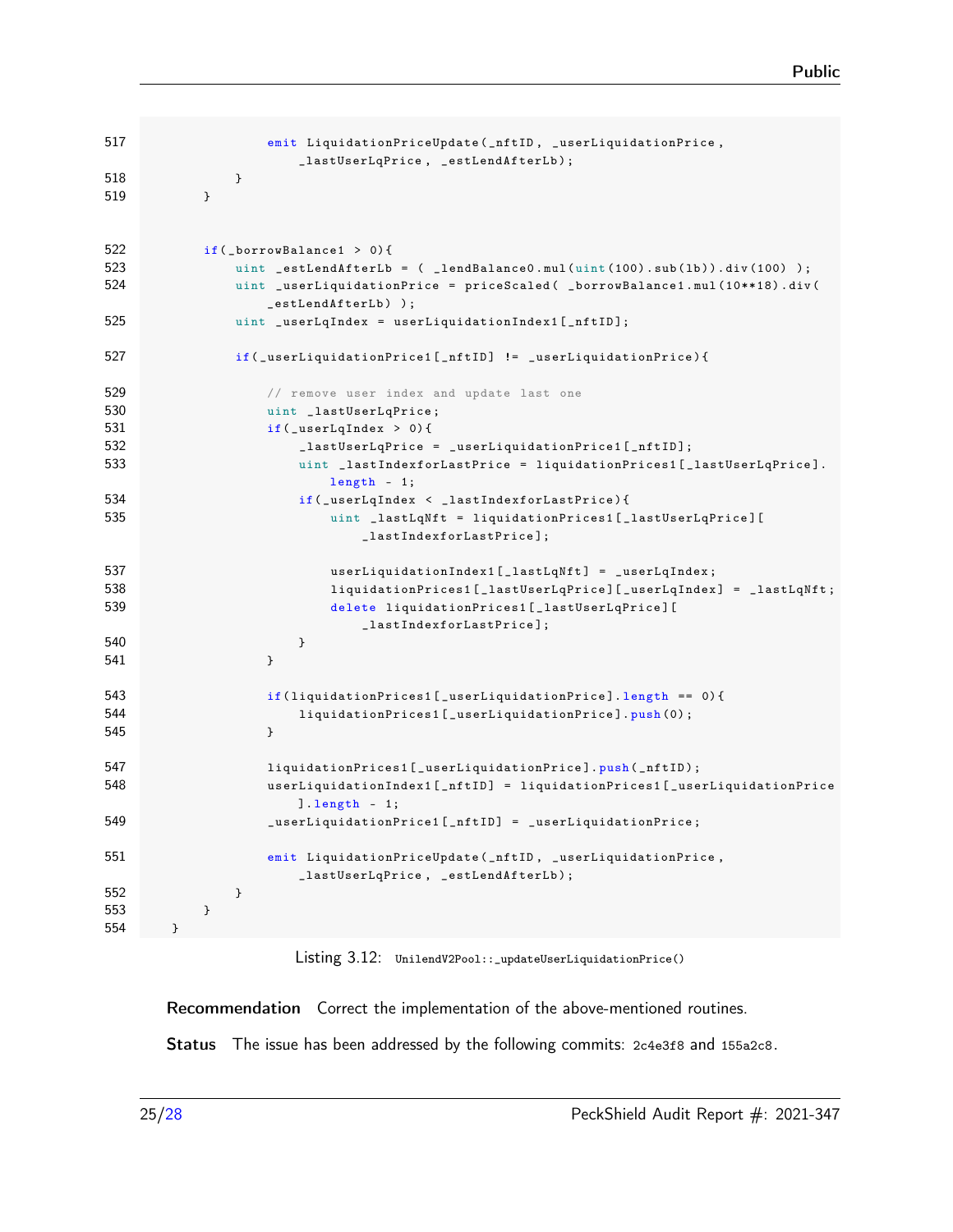```
517 emit LiquidationPriceUpdate ( _nftID , _userLiquidationPrice ,
                   _lastUserLqPrice , _estLendAfterLb );
518 }
519 }
522 if( _borrowBalance1 > 0){
523 uint _estLendAfterLb = ( _lendBalance0.mul(uint(100).sub(1b)).div(100));
524 uint _userLiquidationPrice = priceScaled ( _borrowBalance1.mul(10**18).div (
                _estLendAfterLb ) );
525 uint _userLqIndex = userLiquidationIndex1[_nftID];
527 if( _userLiquidationPrice1 [ _nftID ] != _userLiquidationPrice ){
529 // remove user index and update last one
530 uint _lastUserLqPrice;
531 if (_userLqIndex > 0) {
532 _lastUserLqPrice = _userLiquidationPrice1 [ _nftID ];
533 uint _lastIndexforLastPrice = liquidationPrices1 [ _lastUserLqPrice ].
                      length - 1;
534 if(_userLqIndex < _lastIndexforLastPrice){
535 uint _lastLqNft = liquidationPrices1 [ _lastUserLqPrice ][
                          _lastIndexforLastPrice ];
537 userLiquidationIndex1 [_lastLqNft] = _userLqIndex;
538 liquidationPrices1 [_lastUserLqPrice] [_userLqIndex] = _lastLqNft;
539 delete liquidationPrices1 [ _lastUserLqPrice ][
                          _lastIndexforLastPrice ];
540 }
541 }
543 if( liquidationPrices1 [ _userLiquidationPrice ]. length == 0) {
544 liquidationPrices1 [ _userLiquidationPrice ]. push (0) ;
545 }
547 liquidationPrices1 [_userLiquidationPrice].push (_nftID);
548 userLiquidationIndex1 [ _nftID ] = liquidationPrices1 [ _userLiquidationPrice
                   ]. length - 1;
549 _userLiquidationPrice1 [ _nftID ] = _userLiquidationPrice ;
551 emit LiquidationPriceUpdate ( _nftID , _userLiquidationPrice ,
                   _lastUserLqPrice , _estLendAfterLb );
552 }
553 }
554 }
```
Listing 3.12: UnilendV2Pool::\_updateUserLiquidationPrice()

Recommendation Correct the implementation of the above-mentioned routines.

Status The issue has been addressed by the following commits: [2c4e3f8](https://github.com/UniLend/unilendv2/commit/2c4e3f89c7e938e8a2860bacc5e8976b839443c4) and [155a2c8.](https://github.com/UniLend/unilendv2/commit/155a2c86ed4c44130f2a1547f7e739e2eda713a6)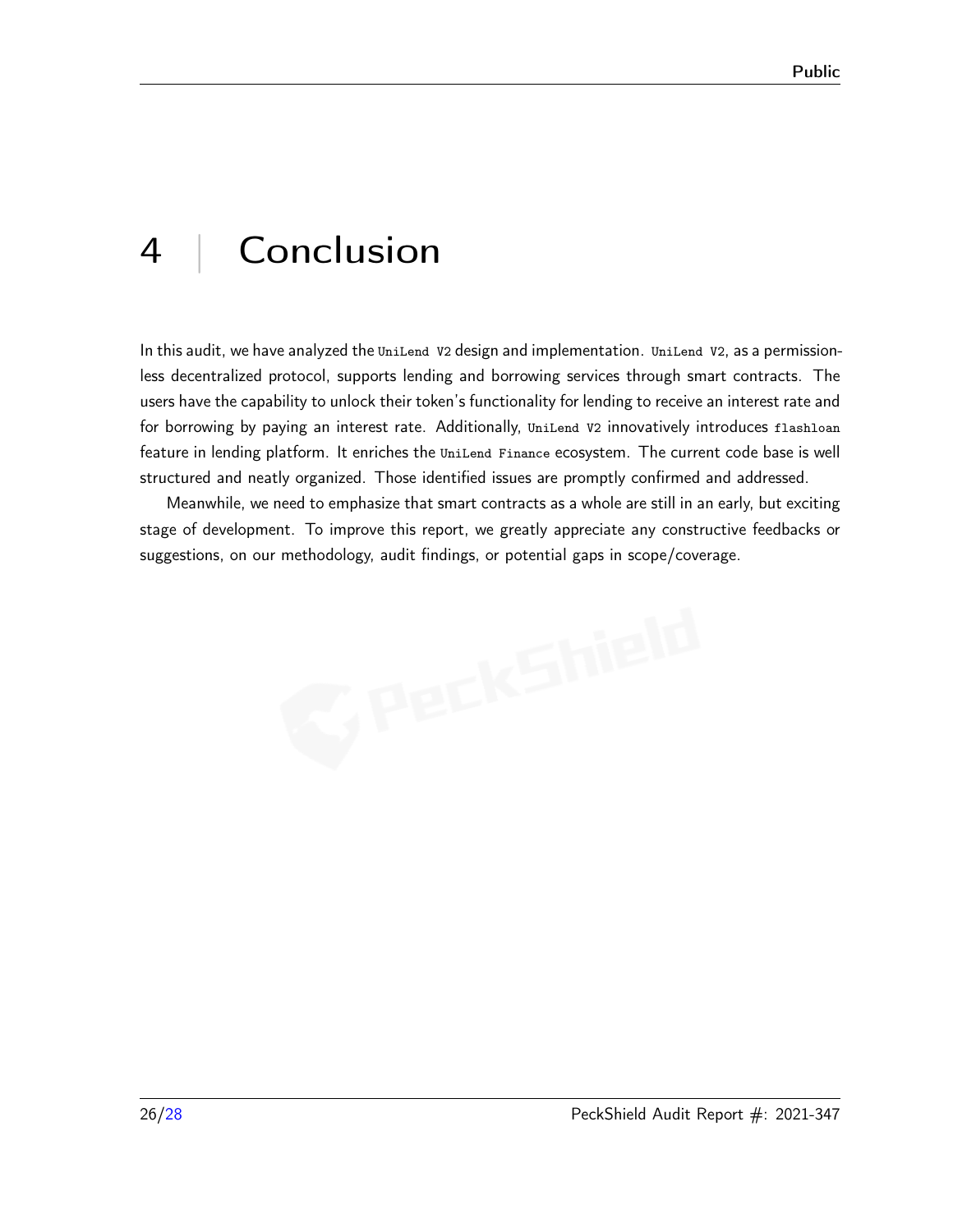# <span id="page-25-0"></span>4 | Conclusion

In this audit, we have analyzed the UniLend V2 design and implementation. UniLend V2, as a permissionless decentralized protocol, supports lending and borrowing services through smart contracts. The users have the capability to unlock their token's functionality for lending to receive an interest rate and for borrowing by paying an interest rate. Additionally, UniLend V2 innovatively introduces flashloan feature in lending platform. It enriches the UniLend Finance ecosystem. The current code base is well structured and neatly organized. Those identified issues are promptly confirmed and addressed.

Meanwhile, we need to emphasize that smart contracts as a whole are still in an early, but exciting stage of development. To improve this report, we greatly appreciate any constructive feedbacks or suggestions, on our methodology, audit findings, or potential gaps in scope/coverage.

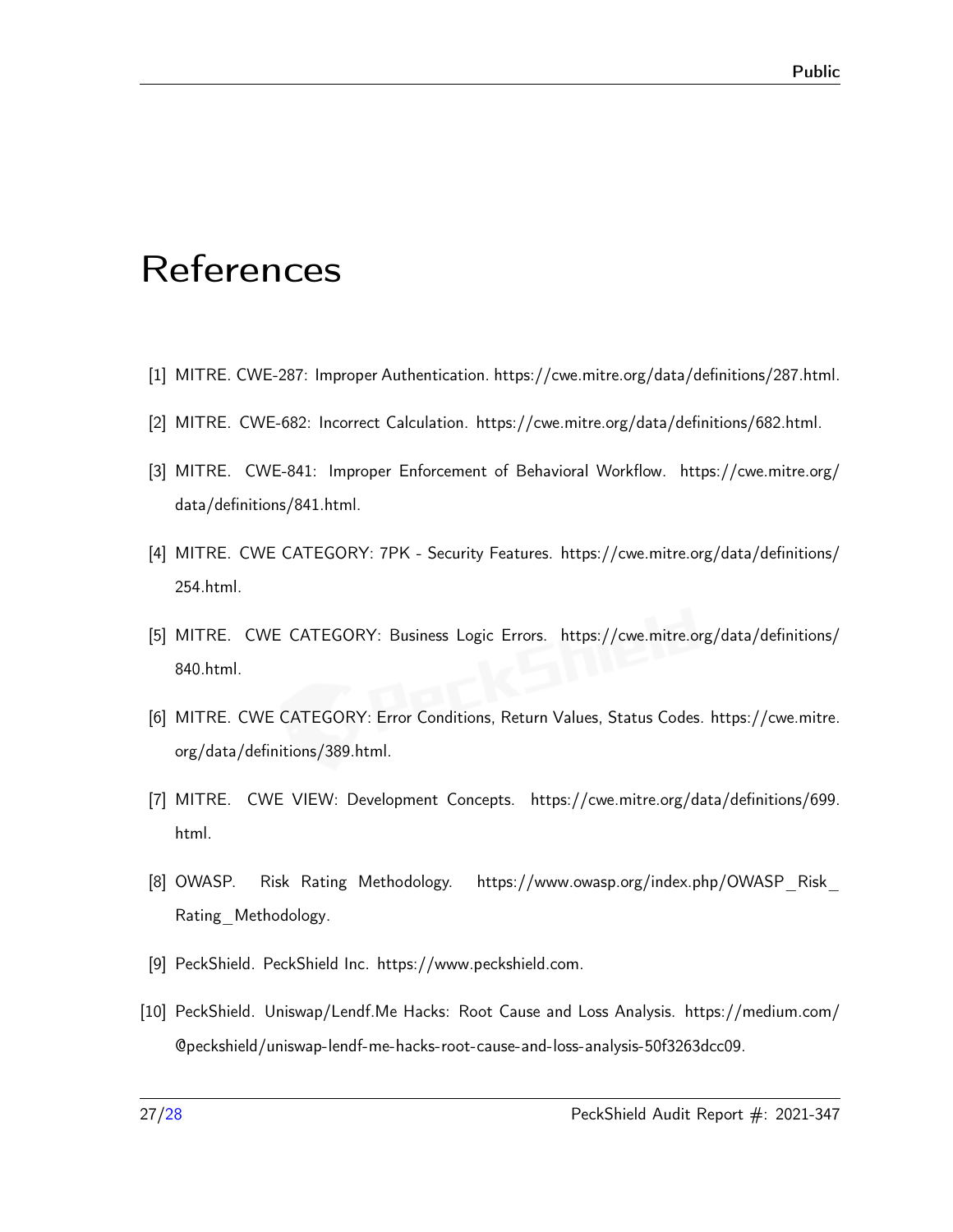# <span id="page-26-0"></span>**References**

- <span id="page-26-10"></span>[1] MITRE. CWE-287: Improper Authentication. [https://cwe.mitre.org/data/definitions/287.html.](https://cwe.mitre.org/data/definitions/287.html)
- <span id="page-26-7"></span>[2] MITRE. CWE-682: Incorrect Calculation. [https://cwe.mitre.org/data/definitions/682.html.](https://cwe.mitre.org/data/definitions/682.html)
- <span id="page-26-5"></span>[3] MITRE. CWE-841: Improper Enforcement of Behavioral Workflow. [https://cwe.mitre.org/](https://cwe.mitre.org/data/definitions/841.html) [data/definitions/841.html.](https://cwe.mitre.org/data/definitions/841.html)
- <span id="page-26-9"></span>[4] MITRE. CWE CATEGORY: 7PK - Security Features. [https://cwe.mitre.org/data/definitions/](https://cwe.mitre.org/data/definitions/254.html) [254.html.](https://cwe.mitre.org/data/definitions/254.html)
- <span id="page-26-4"></span>[5] MITRE. CWE CATEGORY: Business Logic Errors. [https://cwe.mitre.org/data/definitions/](https://cwe.mitre.org/data/definitions/840.html) [840.html.](https://cwe.mitre.org/data/definitions/840.html)
- <span id="page-26-6"></span>[6] MITRE. CWE CATEGORY: Error Conditions, Return Values, Status Codes. [https://cwe.mitre.](https://cwe.mitre.org/data/definitions/389.html) [org/data/definitions/389.html.](https://cwe.mitre.org/data/definitions/389.html)
- <span id="page-26-3"></span>[7] MITRE. CWE VIEW: Development Concepts. [https://cwe.mitre.org/data/definitions/699.](https://cwe.mitre.org/data/definitions/699.html) [html.](https://cwe.mitre.org/data/definitions/699.html)
- <span id="page-26-2"></span>[8] OWASP. Risk Rating Methodology. [https://www.owasp.org/index.php/OWASP\\_Risk\\_](https://www.owasp.org/index.php/OWASP_Risk_Rating_Methodology) [Rating\\_Methodology.](https://www.owasp.org/index.php/OWASP_Risk_Rating_Methodology)
- <span id="page-26-8"></span><span id="page-26-1"></span>[9] PeckShield. PeckShield Inc. [https://www.peckshield.com.](https://www.peckshield.com)
- [10] PeckShield. Uniswap/Lendf.Me Hacks: Root Cause and Loss Analysis. [https://medium.com/](https://medium.com/@peckshield/uniswap-lendf-me-hacks-root-cause-and-loss-analysis-50f3263dcc09) [@peckshield/uniswap-lendf-me-hacks-root-cause-and-loss-analysis-50f3263dcc09.](https://medium.com/@peckshield/uniswap-lendf-me-hacks-root-cause-and-loss-analysis-50f3263dcc09)